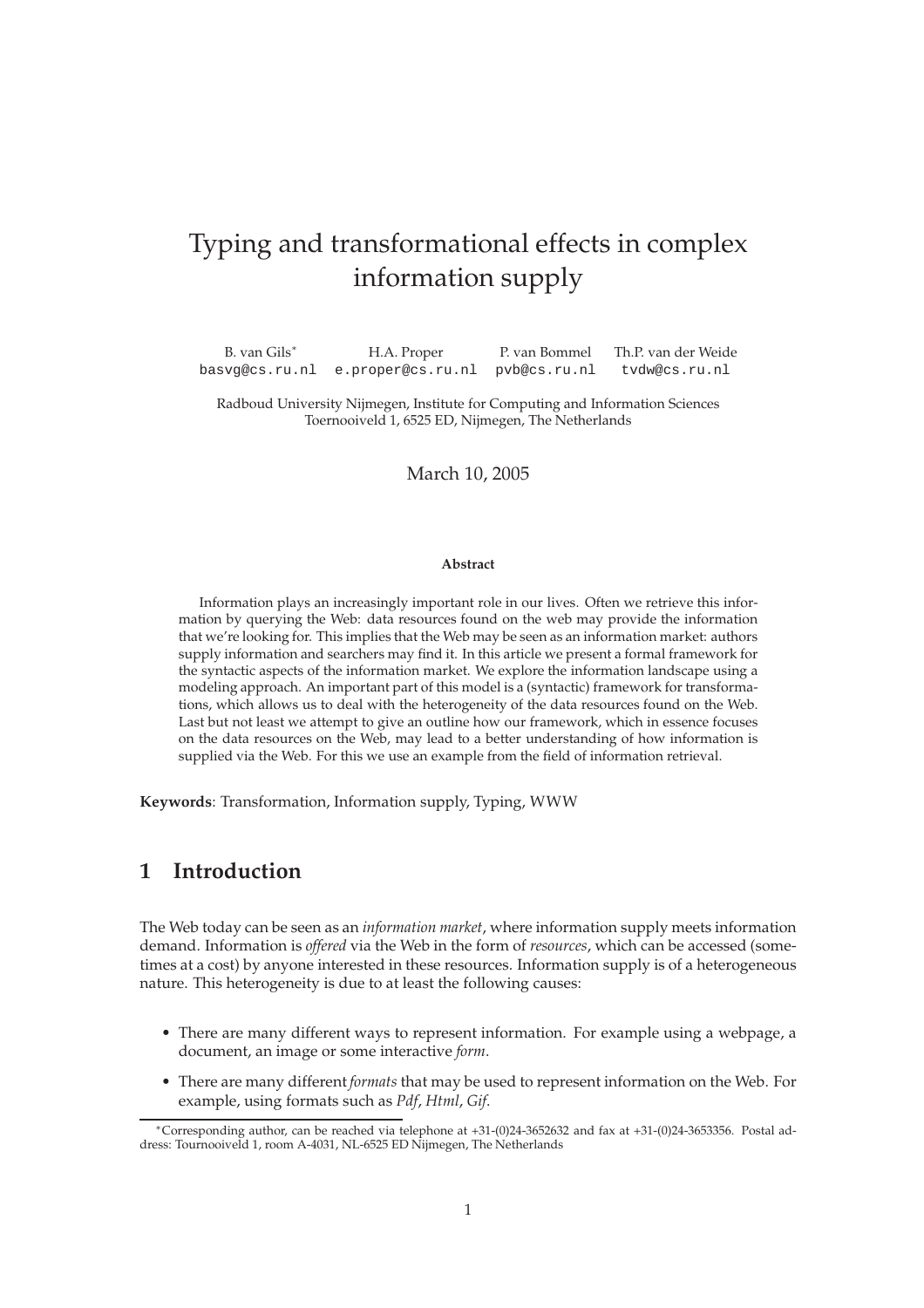# Typing and transformational effects in complex information supply

B. van Gils<sup>∗</sup> H.A. Proper P. van Bommel Th.P. van der Weide basvg@cs.ru.nl e.proper@cs.ru.nl pvb@cs.ru.nl tvdw@cs.ru.nl

Radboud University Nijmegen, Institute for Computing and Information Sciences Toernooiveld 1, 6525 ED, Nijmegen, The Netherlands

March 10, 2005

#### **Abstract**

Information plays an increasingly important role in our lives. Often we retrieve this information by querying the Web: data resources found on the web may provide the information that we're looking for. This implies that the Web may be seen as an information market: authors supply information and searchers may find it. In this article we present a formal framework for the syntactic aspects of the information market. We explore the information landscape using a modeling approach. An important part of this model is a (syntactic) framework for transformations, which allows us to deal with the heterogeneity of the data resources found on the Web. Last but not least we attempt to give an outline how our framework, which in essence focuses on the data resources on the Web, may lead to a better understanding of how information is supplied via the Web. For this we use an example from the field of information retrieval.

**Keywords**: Transformation, Information supply, Typing, WWW

## **1 Introduction**

The Web today can be seen as an *information market*, where information supply meets information demand. Information is *offered* via the Web in the form of *resources*, which can be accessed (sometimes at a cost) by anyone interested in these resources. Information supply is of a heterogeneous nature. This heterogeneity is due to at least the following causes:

- There are many different ways to represent information. For example using a webpage, a document, an image or some interactive *form*.
- There are many different *formats* that may be used to represent information on the Web. For example, using formats such as *Pdf*, *Html*, *Gif*.

<sup>∗</sup>Corresponding author, can be reached via telephone at +31-(0)24-3652632 and fax at +31-(0)24-3653356. Postal address: Tournooiveld 1, room A-4031, NL-6525 ED Nijmegen, The Netherlands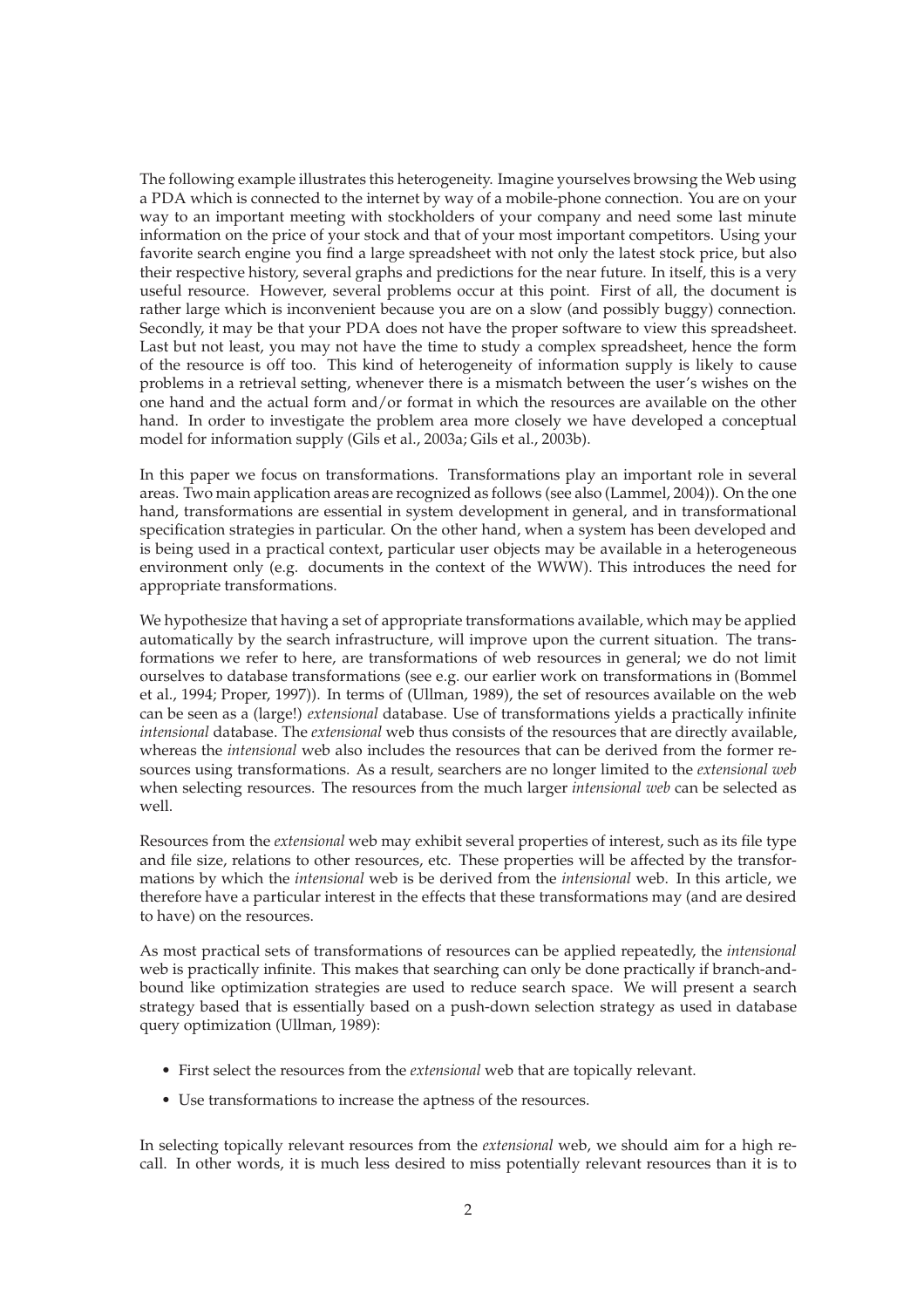The following example illustrates this heterogeneity. Imagine yourselves browsing the Web using a PDA which is connected to the internet by way of a mobile-phone connection. You are on your way to an important meeting with stockholders of your company and need some last minute information on the price of your stock and that of your most important competitors. Using your favorite search engine you find a large spreadsheet with not only the latest stock price, but also their respective history, several graphs and predictions for the near future. In itself, this is a very useful resource. However, several problems occur at this point. First of all, the document is rather large which is inconvenient because you are on a slow (and possibly buggy) connection. Secondly, it may be that your PDA does not have the proper software to view this spreadsheet. Last but not least, you may not have the time to study a complex spreadsheet, hence the form of the resource is off too. This kind of heterogeneity of information supply is likely to cause problems in a retrieval setting, whenever there is a mismatch between the user's wishes on the one hand and the actual form and/or format in which the resources are available on the other hand. In order to investigate the problem area more closely we have developed a conceptual model for information supply (Gils et al., 2003a; Gils et al., 2003b).

In this paper we focus on transformations. Transformations play an important role in several areas. Two main application areas are recognized as follows (see also (Lammel, 2004)). On the one hand, transformations are essential in system development in general, and in transformational specification strategies in particular. On the other hand, when a system has been developed and is being used in a practical context, particular user objects may be available in a heterogeneous environment only (e.g. documents in the context of the WWW). This introduces the need for appropriate transformations.

We hypothesize that having a set of appropriate transformations available, which may be applied automatically by the search infrastructure, will improve upon the current situation. The transformations we refer to here, are transformations of web resources in general; we do not limit ourselves to database transformations (see e.g. our earlier work on transformations in (Bommel et al., 1994; Proper, 1997)). In terms of (Ullman, 1989), the set of resources available on the web can be seen as a (large!) *extensional* database. Use of transformations yields a practically infinite *intensional* database. The *extensional* web thus consists of the resources that are directly available, whereas the *intensional* web also includes the resources that can be derived from the former resources using transformations. As a result, searchers are no longer limited to the *extensional web* when selecting resources. The resources from the much larger *intensional web* can be selected as well.

Resources from the *extensional* web may exhibit several properties of interest, such as its file type and file size, relations to other resources, etc. These properties will be affected by the transformations by which the *intensional* web is be derived from the *intensional* web. In this article, we therefore have a particular interest in the effects that these transformations may (and are desired to have) on the resources.

As most practical sets of transformations of resources can be applied repeatedly, the *intensional* web is practically infinite. This makes that searching can only be done practically if branch-andbound like optimization strategies are used to reduce search space. We will present a search strategy based that is essentially based on a push-down selection strategy as used in database query optimization (Ullman, 1989):

- First select the resources from the *extensional* web that are topically relevant.
- Use transformations to increase the aptness of the resources.

In selecting topically relevant resources from the *extensional* web, we should aim for a high recall. In other words, it is much less desired to miss potentially relevant resources than it is to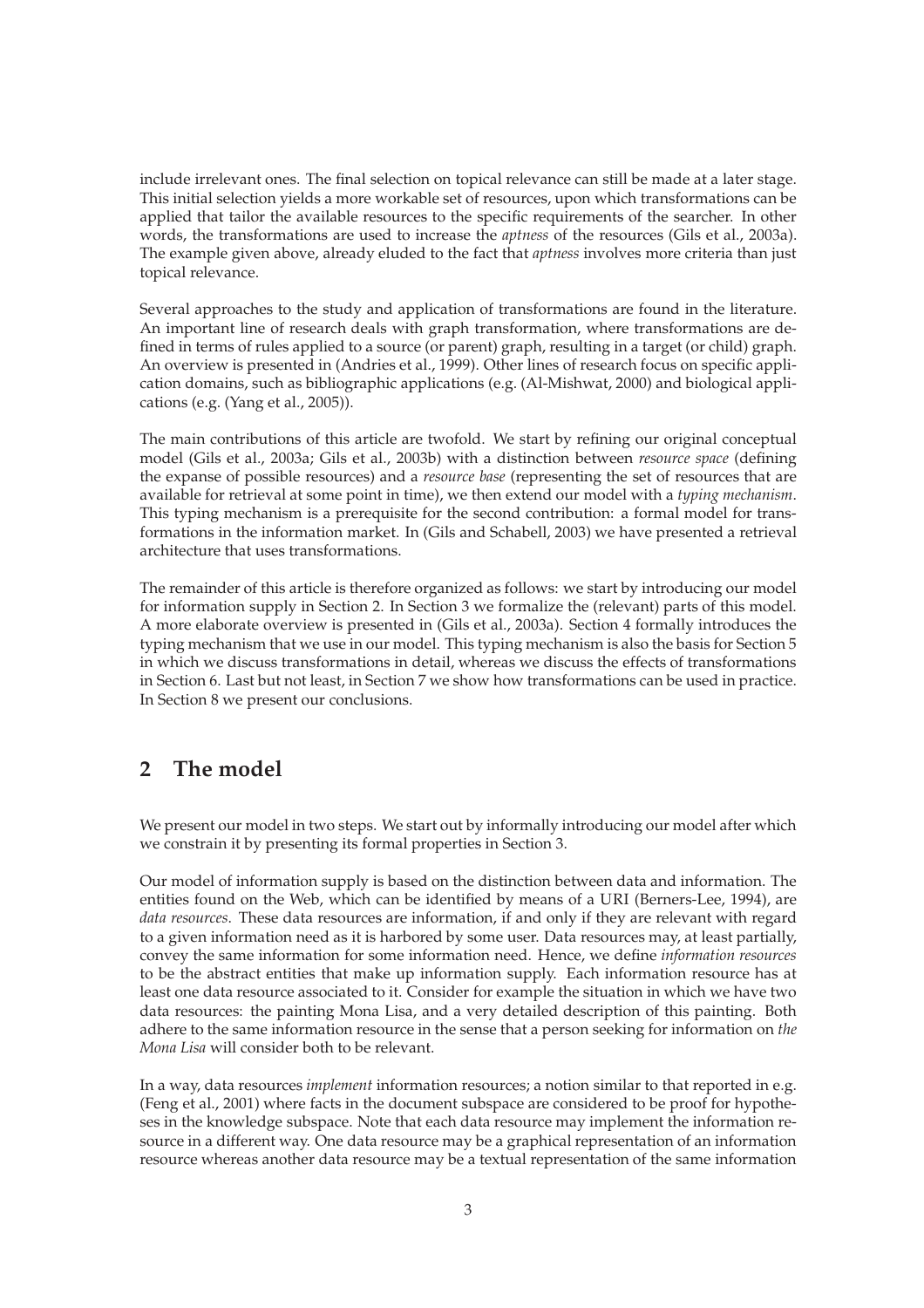include irrelevant ones. The final selection on topical relevance can still be made at a later stage. This initial selection yields a more workable set of resources, upon which transformations can be applied that tailor the available resources to the specific requirements of the searcher. In other words, the transformations are used to increase the *aptness* of the resources (Gils et al., 2003a). The example given above, already eluded to the fact that *aptness* involves more criteria than just topical relevance.

Several approaches to the study and application of transformations are found in the literature. An important line of research deals with graph transformation, where transformations are defined in terms of rules applied to a source (or parent) graph, resulting in a target (or child) graph. An overview is presented in (Andries et al., 1999). Other lines of research focus on specific application domains, such as bibliographic applications (e.g. (Al-Mishwat, 2000) and biological applications (e.g. (Yang et al., 2005)).

The main contributions of this article are twofold. We start by refining our original conceptual model (Gils et al., 2003a; Gils et al., 2003b) with a distinction between *resource space* (defining the expanse of possible resources) and a *resource base* (representing the set of resources that are available for retrieval at some point in time), we then extend our model with a *typing mechanism*. This typing mechanism is a prerequisite for the second contribution: a formal model for transformations in the information market. In (Gils and Schabell, 2003) we have presented a retrieval architecture that uses transformations.

The remainder of this article is therefore organized as follows: we start by introducing our model for information supply in Section 2. In Section 3 we formalize the (relevant) parts of this model. A more elaborate overview is presented in (Gils et al., 2003a). Section 4 formally introduces the typing mechanism that we use in our model. This typing mechanism is also the basis for Section 5 in which we discuss transformations in detail, whereas we discuss the effects of transformations in Section 6. Last but not least, in Section 7 we show how transformations can be used in practice. In Section 8 we present our conclusions.

## **2 The model**

We present our model in two steps. We start out by informally introducing our model after which we constrain it by presenting its formal properties in Section 3.

Our model of information supply is based on the distinction between data and information. The entities found on the Web, which can be identified by means of a URI (Berners-Lee, 1994), are *data resources*. These data resources are information, if and only if they are relevant with regard to a given information need as it is harbored by some user. Data resources may, at least partially, convey the same information for some information need. Hence, we define *information resources* to be the abstract entities that make up information supply. Each information resource has at least one data resource associated to it. Consider for example the situation in which we have two data resources: the painting Mona Lisa, and a very detailed description of this painting. Both adhere to the same information resource in the sense that a person seeking for information on *the Mona Lisa* will consider both to be relevant.

In a way, data resources *implement* information resources; a notion similar to that reported in e.g. (Feng et al., 2001) where facts in the document subspace are considered to be proof for hypotheses in the knowledge subspace. Note that each data resource may implement the information resource in a different way. One data resource may be a graphical representation of an information resource whereas another data resource may be a textual representation of the same information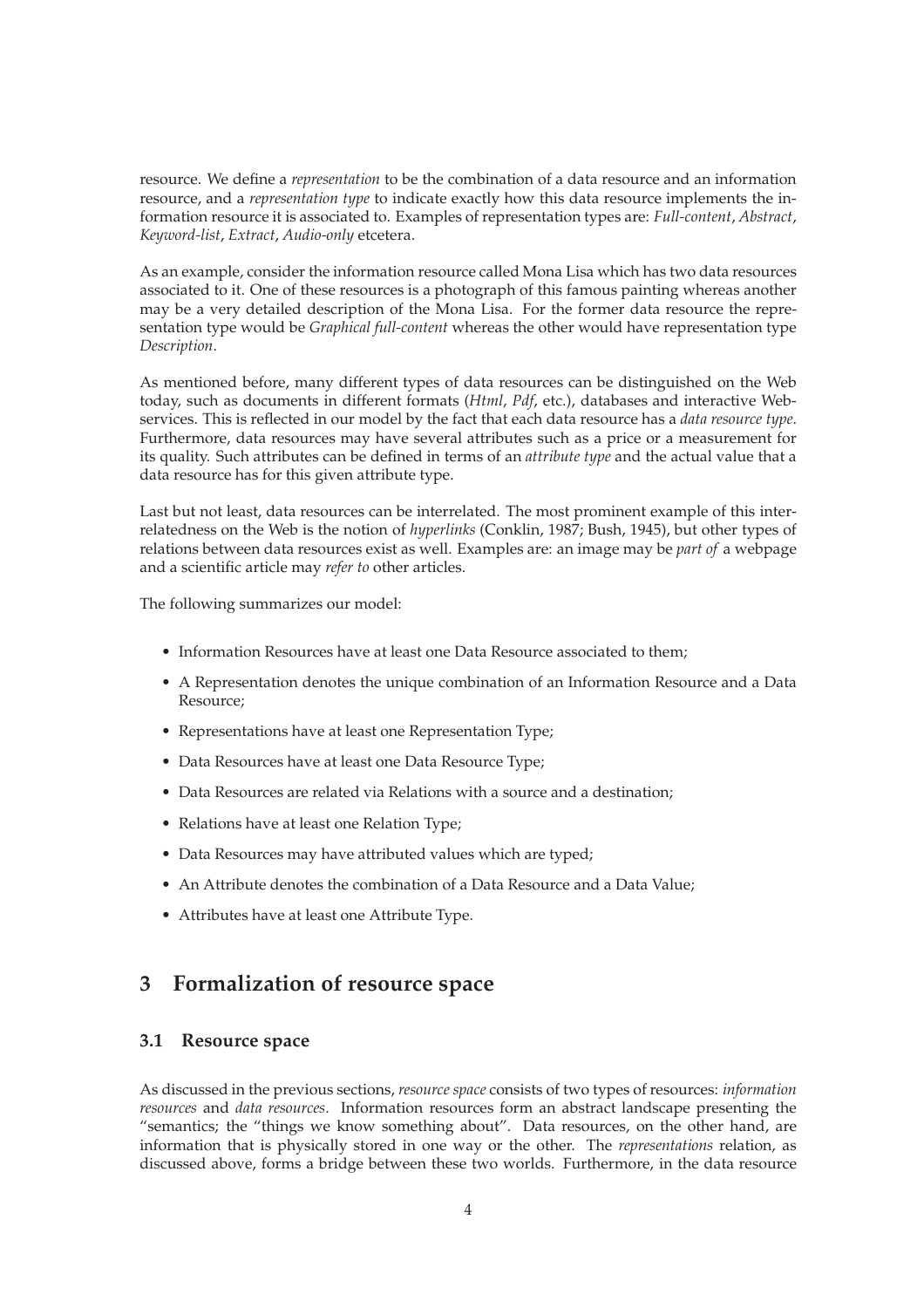resource. We define a *representation* to be the combination of a data resource and an information resource, and a *representation type* to indicate exactly how this data resource implements the information resource it is associated to. Examples of representation types are: *Full-content*, *Abstract*, *Keyword-list*, *Extract*, *Audio-only* etcetera.

As an example, consider the information resource called Mona Lisa which has two data resources associated to it. One of these resources is a photograph of this famous painting whereas another may be a very detailed description of the Mona Lisa. For the former data resource the representation type would be *Graphical full-content* whereas the other would have representation type *Description*.

As mentioned before, many different types of data resources can be distinguished on the Web today, such as documents in different formats (*Html*, *Pdf*, etc.), databases and interactive Webservices. This is reflected in our model by the fact that each data resource has a *data resource type*. Furthermore, data resources may have several attributes such as a price or a measurement for its quality. Such attributes can be defined in terms of an *attribute type* and the actual value that a data resource has for this given attribute type.

Last but not least, data resources can be interrelated. The most prominent example of this interrelatedness on the Web is the notion of *hyperlinks* (Conklin, 1987; Bush, 1945), but other types of relations between data resources exist as well. Examples are: an image may be *part of* a webpage and a scientific article may *refer to* other articles.

The following summarizes our model:

- Information Resources have at least one Data Resource associated to them;
- A Representation denotes the unique combination of an Information Resource and a Data Resource;
- Representations have at least one Representation Type;
- Data Resources have at least one Data Resource Type;
- Data Resources are related via Relations with a source and a destination;
- Relations have at least one Relation Type;
- Data Resources may have attributed values which are typed;
- An Attribute denotes the combination of a Data Resource and a Data Value;
- Attributes have at least one Attribute Type.

## **3 Formalization of resource space**

#### **3.1 Resource space**

As discussed in the previous sections, *resource space* consists of two types of resources: *information resources* and *data resources*. Information resources form an abstract landscape presenting the "semantics; the "things we know something about". Data resources, on the other hand, are information that is physically stored in one way or the other. The *representations* relation, as discussed above, forms a bridge between these two worlds. Furthermore, in the data resource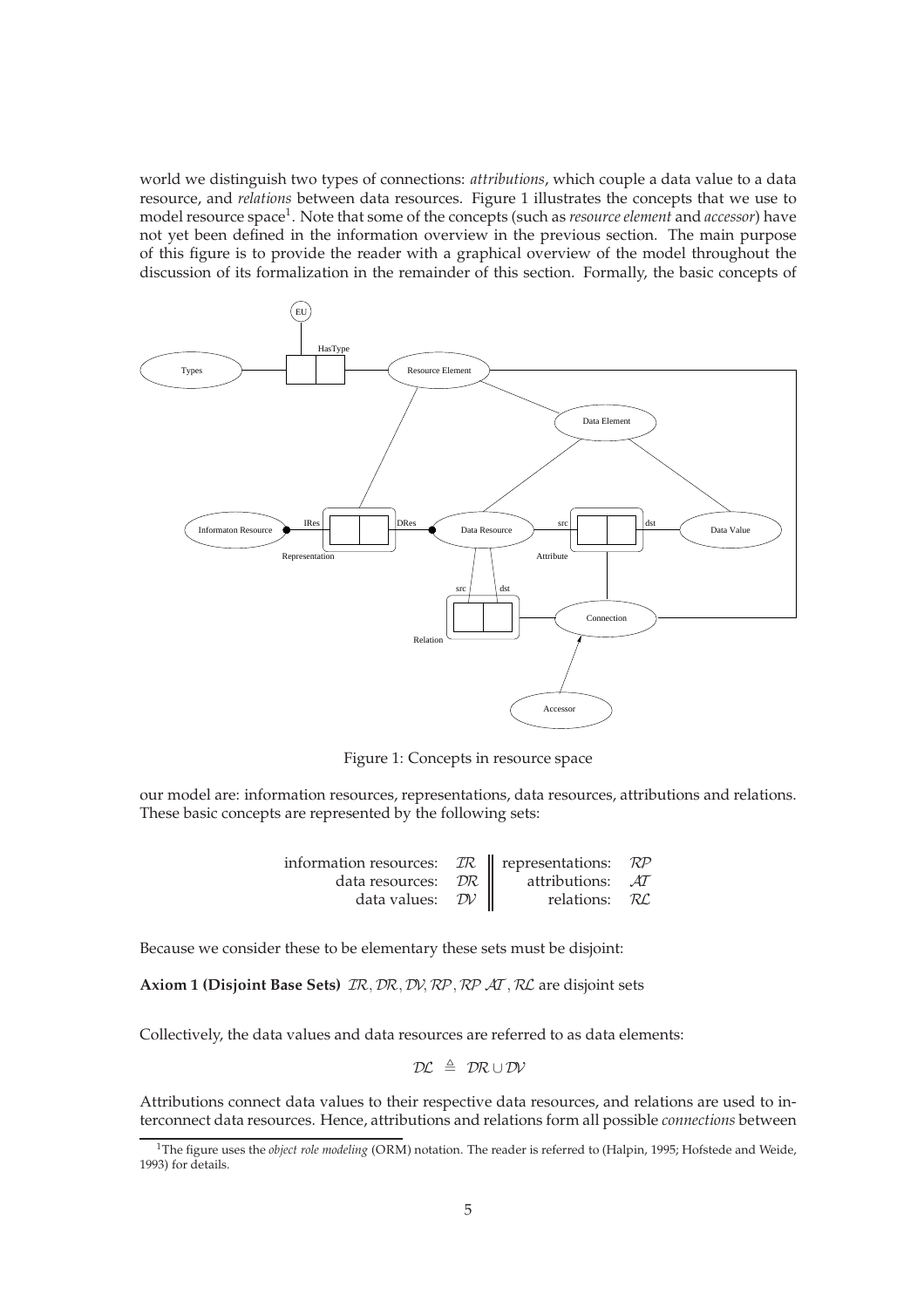world we distinguish two types of connections: *attributions*, which couple a data value to a data resource, and *relations* between data resources. Figure 1 illustrates the concepts that we use to model resource space<sup>1</sup>. Note that some of the concepts (such as *resource element* and *accessor*) have not yet been defined in the information overview in the previous section. The main purpose of this figure is to provide the reader with a graphical overview of the model throughout the discussion of its formalization in the remainder of this section. Formally, the basic concepts of



Figure 1: Concepts in resource space

our model are: information resources, representations, data resources, attributions and relations. These basic concepts are represented by the following sets:

| information resources: $\mathcal{IR}$   representations: $\mathcal{RP}$ |                  |  |
|-------------------------------------------------------------------------|------------------|--|
| data resources: $\mathcal{DR}$                                          | attributions: AT |  |
| data values: $\mathcal{D}V$                                             | relations: RL    |  |

Because we consider these to be elementary these sets must be disjoint:

**Axiom 1 (Disjoint Base Sets)** IR, DR, DV, RP, RP AT , RL are disjoint sets

Collectively, the data values and data resources are referred to as data elements:

$$
\mathcal{DL} \ \triangleq \ \mathcal{DR} \cup \mathcal{DV}
$$

Attributions connect data values to their respective data resources, and relations are used to interconnect data resources. Hence, attributions and relations form all possible *connections* between

<sup>&</sup>lt;sup>1</sup>The figure uses the *object role modeling* (ORM) notation. The reader is referred to (Halpin, 1995; Hofstede and Weide, 1993) for details.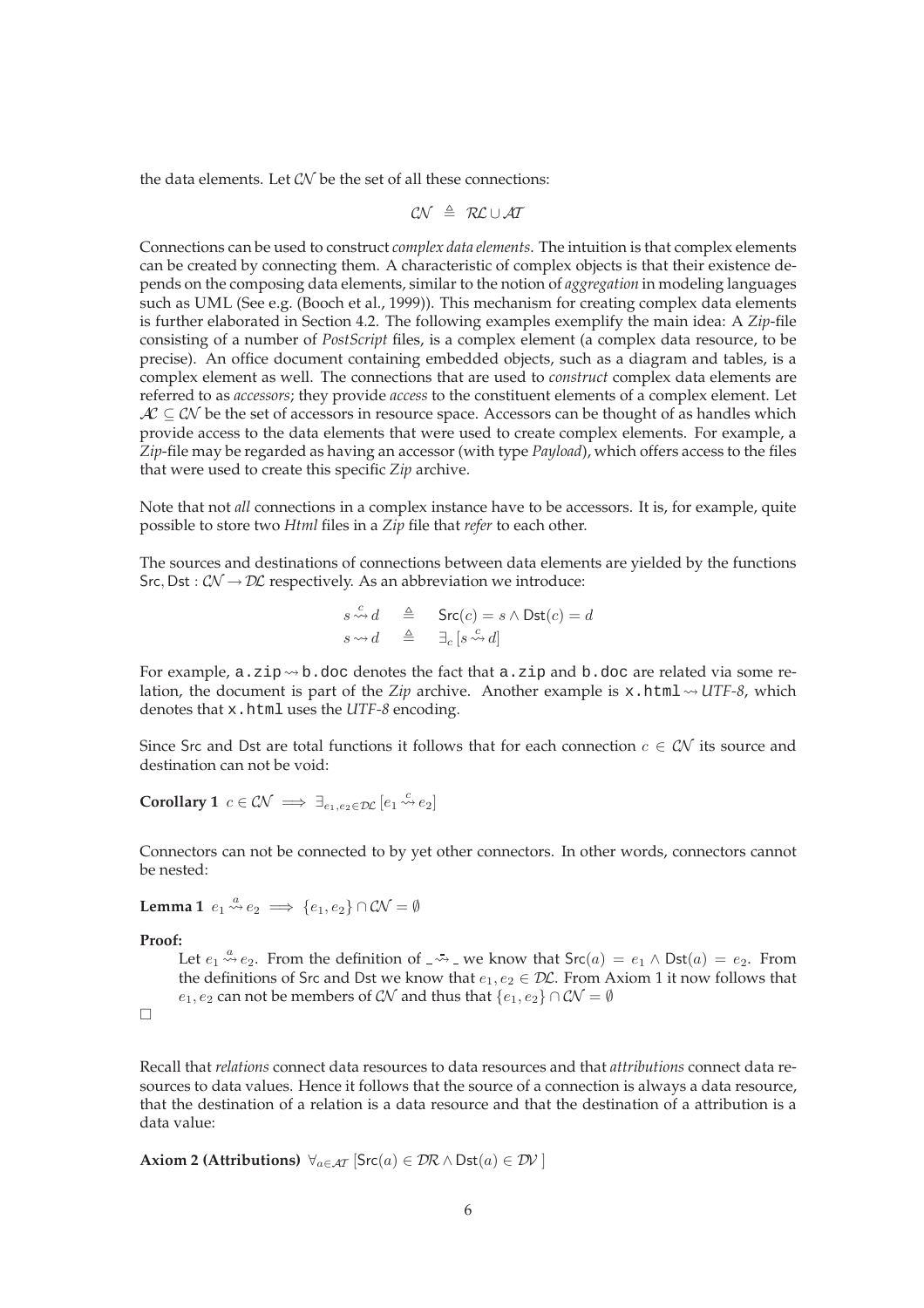the data elements. Let  $\mathcal{CN}$  be the set of all these connections:

$$
\mathcal{CN} \ \triangleq \ \mathcal{RL} \cup \mathcal{AT}
$$

Connections can be used to construct *complex data elements*. The intuition is that complex elements can be created by connecting them. A characteristic of complex objects is that their existence depends on the composing data elements, similar to the notion of *aggregation* in modeling languages such as UML (See e.g. (Booch et al., 1999)). This mechanism for creating complex data elements is further elaborated in Section 4.2. The following examples exemplify the main idea: A *Zip*-file consisting of a number of *PostScript* files, is a complex element (a complex data resource, to be precise). An office document containing embedded objects, such as a diagram and tables, is a complex element as well. The connections that are used to *construct* complex data elements are referred to as *accessors*; they provide *access* to the constituent elements of a complex element. Let  $AC \subseteq CN$  be the set of accessors in resource space. Accessors can be thought of as handles which provide access to the data elements that were used to create complex elements. For example, a *Zip*-file may be regarded as having an accessor (with type *Payload*), which offers access to the files that were used to create this specific *Zip* archive.

Note that not *all* connections in a complex instance have to be accessors. It is, for example, quite possible to store two *Html* files in a *Zip* file that *refer* to each other.

The sources and destinations of connections between data elements are yielded by the functions Src, Dst :  $\mathcal{CN} \rightarrow \mathcal{DL}$  respectively. As an abbreviation we introduce:

$$
\begin{array}{rcl} s \stackrel{c}{\leadsto} d & \triangleq & \mathsf{Src}(c) = s \land \mathsf{Dst}(c) = d \\ s \leadsto d & \triangleq & \exists_c \, [s \stackrel{c}{\leadsto} d] \end{array}
$$

For example, a. zip  $\rightsquigarrow$  b.doc denotes the fact that a. zip and b.doc are related via some relation, the document is part of the *Zip* archive. Another example is x.html  $\sim$  *UTF-8*, which denotes that x.html uses the *UTF-8* encoding.

Since Src and Dst are total functions it follows that for each connection  $c \in \mathcal{CN}$  its source and destination can not be void:

**Corollary 1** 
$$
c \in \mathcal{CN} \implies \exists_{e_1,e_2 \in \mathcal{DL}} [e_1 \stackrel{c}{\leadsto} e_2]
$$

Connectors can not be connected to by yet other connectors. In other words, connectors cannot be nested:

**Lemma 1** 
$$
e_1 \stackrel{a}{\leadsto} e_2 \implies \{e_1, e_2\} \cap \mathcal{CN} = \emptyset
$$

**Proof:**

Let  $e_1 \stackrel{a}{\leadsto} e_2$ . From the definition of  $\leadsto$  we know that  $\text{Src}(a) = e_1 \land \text{Dst}(a) = e_2$ . From the definitions of Src and Dst we know that  $e_1, e_2 \in \mathcal{DL}$ . From Axiom 1 it now follows that  $e_1, e_2$  can not be members of  $\mathcal{CN}$  and thus that  $\{e_1, e_2\} \cap \mathcal{CN} = \emptyset$ 

 $\Box$ 

Recall that *relations* connect data resources to data resources and that *attributions* connect data resources to data values. Hence it follows that the source of a connection is always a data resource, that the destination of a relation is a data resource and that the destination of a attribution is a data value:

**Axiom 2 (Attributions)** 
$$
\forall_{a \in \mathcal{AT}} [\mathsf{Src}(a) \in \mathcal{DR} \land \mathsf{Dst}(a) \in \mathcal{DV}]
$$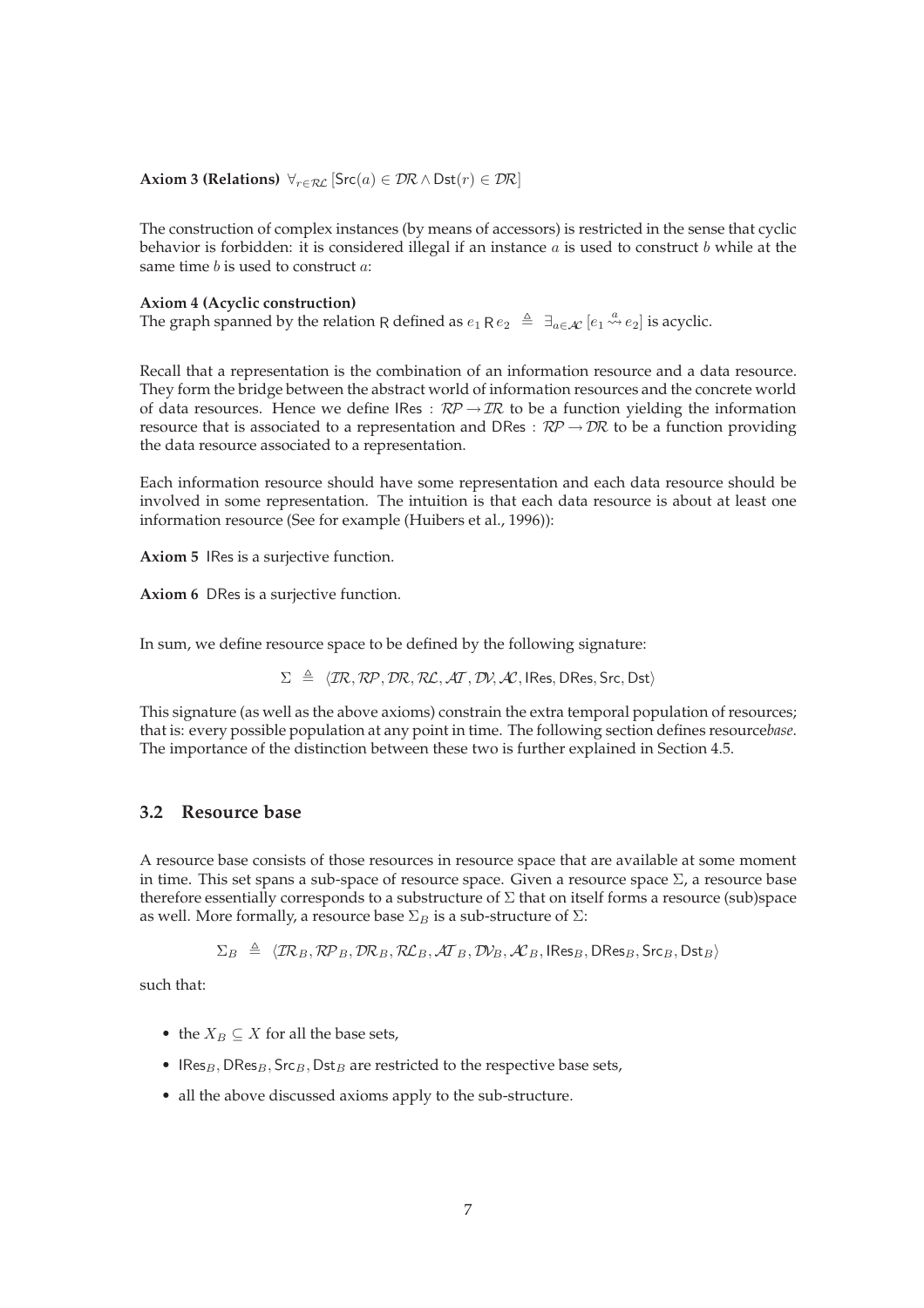**Axiom 3 (Relations)**  $\forall_{r \in \mathcal{RL}}$  [Src(a)  $\in \mathcal{DR} \wedge \text{Dst}(r) \in \mathcal{DR}$ ]

The construction of complex instances (by means of accessors) is restricted in the sense that cyclic behavior is forbidden: it is considered illegal if an instance  $a$  is used to construct  $b$  while at the same time  $b$  is used to construct  $a$ :

#### **Axiom 4 (Acyclic construction)**

The graph spanned by the relation R defined as  $e_1$  R $e_2 \triangleq \exists_{a \in \mathcal{A}} e_1 \stackrel{a}{\leadsto} e_2$  is acyclic.

Recall that a representation is the combination of an information resource and a data resource. They form the bridge between the abstract world of information resources and the concrete world of data resources. Hence we define IRes :  $\mathcal{RP} \rightarrow \mathcal{IR}$  to be a function yielding the information resource that is associated to a representation and DRes :  $\mathcal{RP} \to \mathcal{DR}$  to be a function providing the data resource associated to a representation.

Each information resource should have some representation and each data resource should be involved in some representation. The intuition is that each data resource is about at least one information resource (See for example (Huibers et al., 1996)):

**Axiom 5** IRes is a surjective function.

**Axiom 6** DRes is a surjective function.

In sum, we define resource space to be defined by the following signature:

 $\Sigma \triangleq \langle \text{TR}, \text{RP}, \text{DR}, \text{RL}, \text{AT}, \text{DN}, \text{AC}, \text{IRes}, \text{DRes}, \text{Src}, \text{Dst} \rangle$ 

This signature (as well as the above axioms) constrain the extra temporal population of resources; that is: every possible population at any point in time. The following section defines resource*base*. The importance of the distinction between these two is further explained in Section 4.5.

### **3.2 Resource base**

A resource base consists of those resources in resource space that are available at some moment in time. This set spans a sub-space of resource space. Given a resource space  $\Sigma$ , a resource base therefore essentially corresponds to a substructure of  $\Sigma$  that on itself forms a resource (sub)space as well. More formally, a resource base  $\Sigma_B$  is a sub-structure of  $\Sigma$ :

 $\Sigma_B \triangleq \langle \text{TR}_B, \text{RP}_B, \text{DR}_B, \text{RL}_B, \text{AT}_B, \text{DY}_B, \text{AC}_B, \text{IRes}_B, \text{DRes}_B, \text{Src}_B, \text{Dst}_B \rangle$ 

such that:

- the  $X_B \subset X$  for all the base sets,
- IRes<sub>B</sub>, DRes<sub>B</sub>, Src<sub>B</sub>, Dst<sub>B</sub> are restricted to the respective base sets,
- all the above discussed axioms apply to the sub-structure.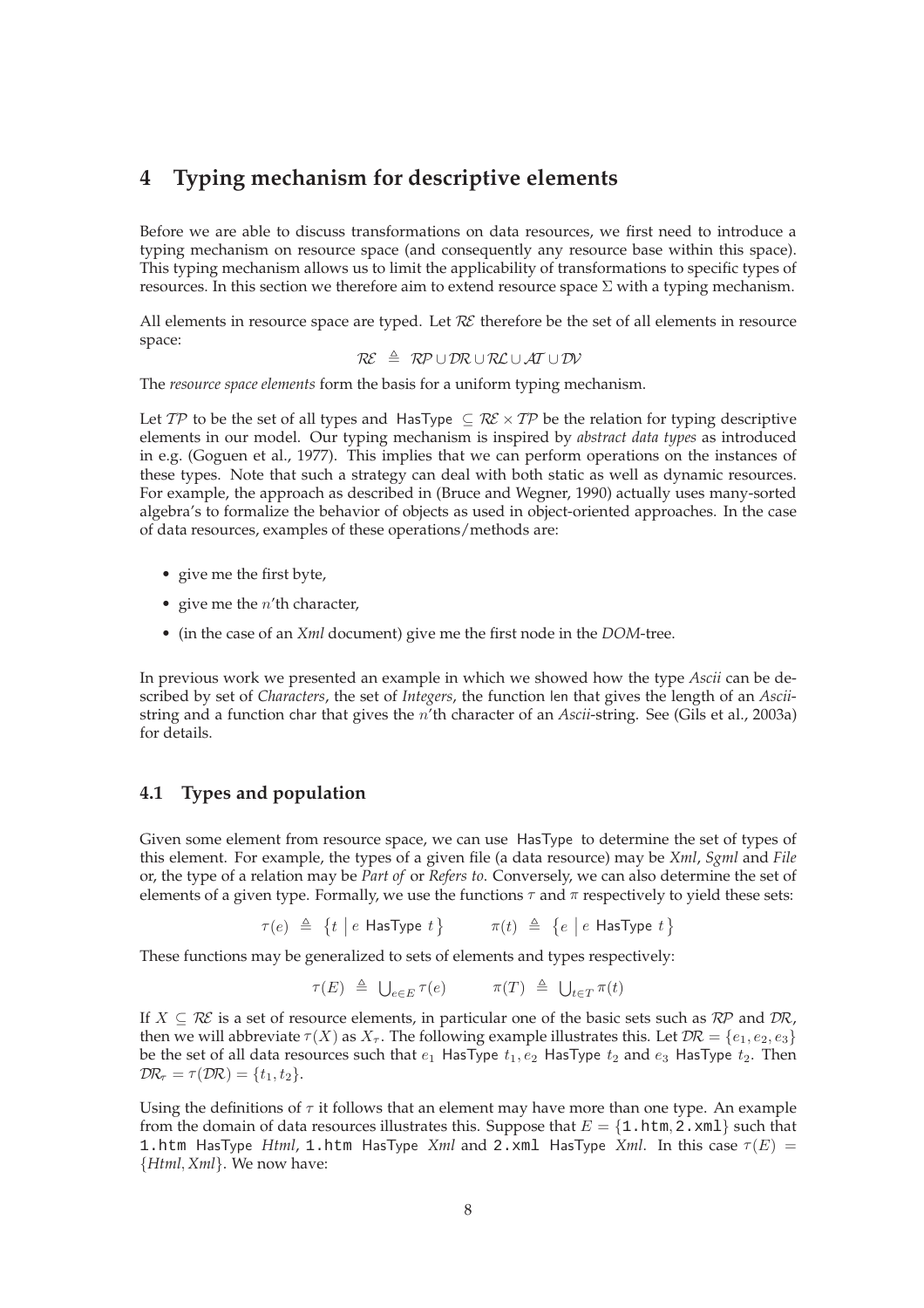## **4 Typing mechanism for descriptive elements**

Before we are able to discuss transformations on data resources, we first need to introduce a typing mechanism on resource space (and consequently any resource base within this space). This typing mechanism allows us to limit the applicability of transformations to specific types of resources. In this section we therefore aim to extend resource space  $\Sigma$  with a typing mechanism.

All elements in resource space are typed. Let  $R\mathcal{E}$  therefore be the set of all elements in resource space:

$$
\mathcal{R}\!\mathcal{E} \;\; \triangleq \;\; \mathcal{R}\!\mathcal{P}\cup\mathcal{D}\!\mathcal{R}\cup\mathcal{R}\!\mathcal{L}\cup\mathcal{A}\!\mathcal{T}\cup\mathcal{D}\!\mathcal{V}
$$

The *resource space elements* form the basis for a uniform typing mechanism.

Let TP to be the set of all types and HasType  $\subseteq$  RE  $\times$  TP be the relation for typing descriptive elements in our model. Our typing mechanism is inspired by *abstract data types* as introduced in e.g. (Goguen et al., 1977). This implies that we can perform operations on the instances of these types. Note that such a strategy can deal with both static as well as dynamic resources. For example, the approach as described in (Bruce and Wegner, 1990) actually uses many-sorted algebra's to formalize the behavior of objects as used in object-oriented approaches. In the case of data resources, examples of these operations/methods are:

- give me the first byte,
- give me the  $n'$ th character,
- (in the case of an *Xml* document) give me the first node in the *DOM*-tree.

In previous work we presented an example in which we showed how the type *Ascii* can be described by set of *Characters*, the set of *Integers*, the function len that gives the length of an *Ascii*string and a function char that gives the n'th character of an *Ascii*-string. See (Gils et al., 2003a) for details.

#### **4.1 Types and population**

Given some element from resource space, we can use HasType to determine the set of types of this element. For example, the types of a given file (a data resource) may be *Xml*, *Sgml* and *File* or, the type of a relation may be *Part of* or *Refers to*. Conversely, we can also determine the set of elements of a given type. Formally, we use the functions  $\tau$  and  $\pi$  respectively to yield these sets:

$$
\tau(e) \triangleq \{t \mid e \text{ HasType } t\} \qquad \pi(t) \triangleq \{e \mid e \text{ HasType } t\}
$$

These functions may be generalized to sets of elements and types respectively:

$$
\tau(E) \triangleq \bigcup_{e \in E} \tau(e) \qquad \pi(T) \triangleq \bigcup_{t \in T} \pi(t)
$$

If  $X \subseteq \mathcal{RE}$  is a set of resource elements, in particular one of the basic sets such as  $\mathcal{RP}$  and  $\mathcal{DR}$ , then we will abbreviate  $\tau(X)$  as  $X_{\tau}$ . The following example illustrates this. Let  $\mathcal{DR} = \{e_1, e_2, e_3\}$ be the set of all data resources such that  $e_1$  HasType  $t_1, e_2$  HasType  $t_2$  and  $e_3$  HasType  $t_2$ . Then  $\mathcal{D}\mathcal{R}_{\tau} = \tau(\mathcal{D}\mathcal{R}) = \{t_1, t_2\}.$ 

Using the definitions of  $\tau$  it follows that an element may have more than one type. An example from the domain of data resources illustrates this. Suppose that  $E = \{1 \text{ .htm}, 2 \text{ .cm1}\}$  such that 1.htm HasType *Html*, 1.htm HasType *Xml* and 2.xml HasType *Xml*. In this case  $\tau(E)$  = {*Html*, *Xml*}. We now have: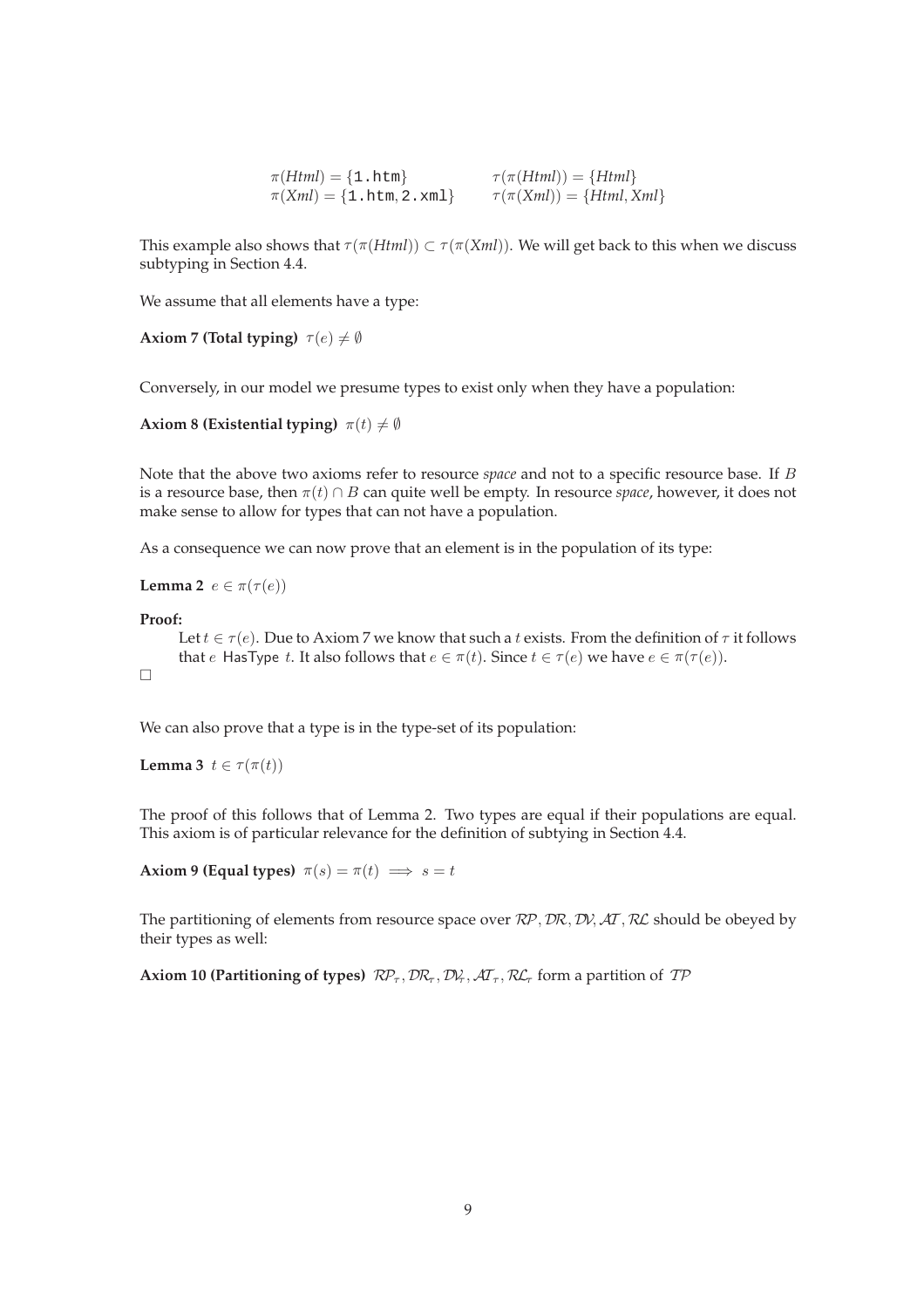```
\pi(Html) = \{1 \text{.html}\} \tau(\pi(Html)) = \{Html\}\pi(Xml) = \{1. \text{htm}, 2. \text{cm1}\} \tau(\pi(Xml)) = \{Html, Xml\}
```
This example also shows that  $\tau(\pi(Html)) \subset \tau(\pi(Xml))$ . We will get back to this when we discuss subtyping in Section 4.4.

We assume that all elements have a type:

```
Axiom 7 (Total typing) \tau(e) \neq \emptyset
```
Conversely, in our model we presume types to exist only when they have a population:

**Axiom 8 (Existential typing)**  $\pi(t) \neq \emptyset$ 

Note that the above two axioms refer to resource *space* and not to a specific resource base. If B is a resource base, then  $\pi(t) \cap B$  can quite well be empty. In resource *space*, however, it does not make sense to allow for types that can not have a population.

As a consequence we can now prove that an element is in the population of its type:

**Lemma 2**  $e \in \pi(\tau(e))$ 

#### **Proof:**

```
Let t \in \tau(e). Due to Axiom 7 we know that such a t exists. From the definition of \tau it follows
      that e HasType t. It also follows that e \in \pi(t). Since t \in \tau(e) we have e \in \pi(\tau(e)).
\Box
```
We can also prove that a type is in the type-set of its population:

**Lemma 3**  $t \in \tau(\pi(t))$ 

The proof of this follows that of Lemma 2. Two types are equal if their populations are equal. This axiom is of particular relevance for the definition of subtying in Section 4.4.

**Axiom 9 (Equal types)**  $\pi(s) = \pi(t) \implies s = t$ 

The partitioning of elements from resource space over  $\mathcal{RP}, \mathcal{DR}, \mathcal{D} \mathcal{V}, \mathcal{AT}, \mathcal{RL}$  should be obeyed by their types as well:

**Axiom 10 (Partitioning of types)**  $\mathcal{RP}_{\tau}$ ,  $\mathcal{DR}_{\tau}$ ,  $\mathcal{DR}_{\tau}$ ,  $\mathcal{RL}_{\tau}$ ,  $\mathcal{RL}_{\tau}$  form a partition of  $\mathcal{TP}$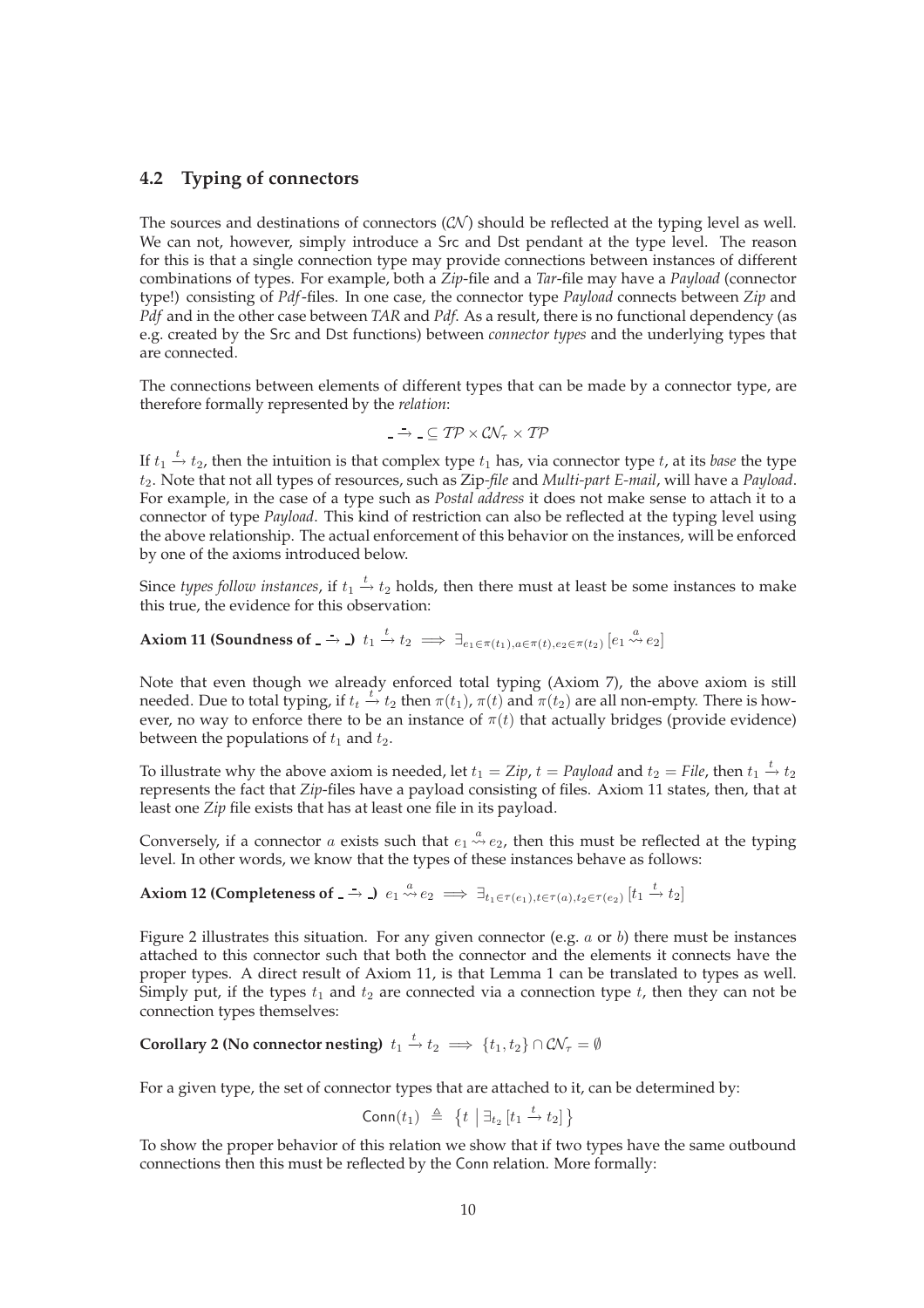### **4.2 Typing of connectors**

The sources and destinations of connectors  $(C\mathcal{N})$  should be reflected at the typing level as well. We can not, however, simply introduce a Src and Dst pendant at the type level. The reason for this is that a single connection type may provide connections between instances of different combinations of types. For example, both a *Zip*-file and a *Tar*-file may have a *Payload* (connector type!) consisting of *Pdf*-files. In one case, the connector type *Payload* connects between *Zip* and *Pdf* and in the other case between *TAR* and *Pdf*. As a result, there is no functional dependency (as e.g. created by the Src and Dst functions) between *connector types* and the underlying types that are connected.

The connections between elements of different types that can be made by a connector type, are therefore formally represented by the *relation*:

$$
T\rightarrow T\subseteq \mathcal{TP}\times \mathcal{CN}_\tau \times \mathcal{TP}
$$

If  $t_1$   $\stackrel{t}{\rightarrow}$   $t_2$ , then the intuition is that complex type  $t_1$  has, via connector type  $t$ , at its *base* the type t2. Note that not all types of resources, such as Zip*-file* and *Multi-part E-mail*, will have a *Payload*. For example, in the case of a type such as *Postal address* it does not make sense to attach it to a connector of type *Payload*. This kind of restriction can also be reflected at the typing level using the above relationship. The actual enforcement of this behavior on the instances, will be enforced by one of the axioms introduced below.

Since *types follow instances,* if  $t_1 \stackrel{t}{\rightarrow} t_2$  holds, then there must at least be some instances to make this true, the evidence for this observation:

Axiom 11 (Soundness of \_ → \_)  $t_1 \stackrel{t}{\rightarrow} t_2 \implies \exists_{e_1 \in \pi(t_1), a \in \pi(t), e_2 \in \pi(t_2)} \left[ e_1 \stackrel{a}{\leadsto} e_2 \right]$ 

Note that even though we already enforced total typing (Axiom 7), the above axiom is still needed. Due to total typing, if  $t_t \stackrel{t}{\to} t_2$  then  $\pi(t_1)$ ,  $\pi(t)$  and  $\pi(t_2)$  are all non-empty. There is however, no way to enforce there to be an instance of  $\pi(t)$  that actually bridges (provide evidence) between the populations of  $t_1$  and  $t_2$ .

To illustrate why the above axiom is needed, let  $t_1 = Zip$ ,  $t = Payload$  and  $t_2 = File$ , then  $t_1 \stackrel{t}{\rightarrow} t_2$ represents the fact that *Zip*-files have a payload consisting of files. Axiom 11 states, then, that at least one *Zip* file exists that has at least one file in its payload.

Conversely, if a connector a exists such that  $e_1 \stackrel{a}{\leadsto} e_2$ , then this must be reflected at the typing level. In other words, we know that the types of these instances behave as follows:

## Axiom 12 (Completeness of \_ → \_)  $e_1 \stackrel{a}{\leadsto} e_2 \implies \exists_{t_1 \in \tau(e_1), t \in \tau(a), t_2 \in \tau(e_2)} \left[t_1 \stackrel{t}{\to} t_2\right]$

Figure 2 illustrates this situation. For any given connector (e.g.  $a$  or  $b$ ) there must be instances attached to this connector such that both the connector and the elements it connects have the proper types. A direct result of Axiom 11, is that Lemma 1 can be translated to types as well. Simply put, if the types  $t_1$  and  $t_2$  are connected via a connection type  $t$ , then they can not be connection types themselves:

**Corollary 2 (No connector nesting)**  $t_1 \xrightarrow{t} t_2 \implies \{t_1, t_2\} \cap \mathcal{CN}_{\tau} = \emptyset$ 

For a given type, the set of connector types that are attached to it, can be determined by:

$$
\mathsf{Conn}(t_1) \triangleq \{t \mid \exists_{t_2} [t_1 \xrightarrow{t} t_2] \}
$$

To show the proper behavior of this relation we show that if two types have the same outbound connections then this must be reflected by the Conn relation. More formally: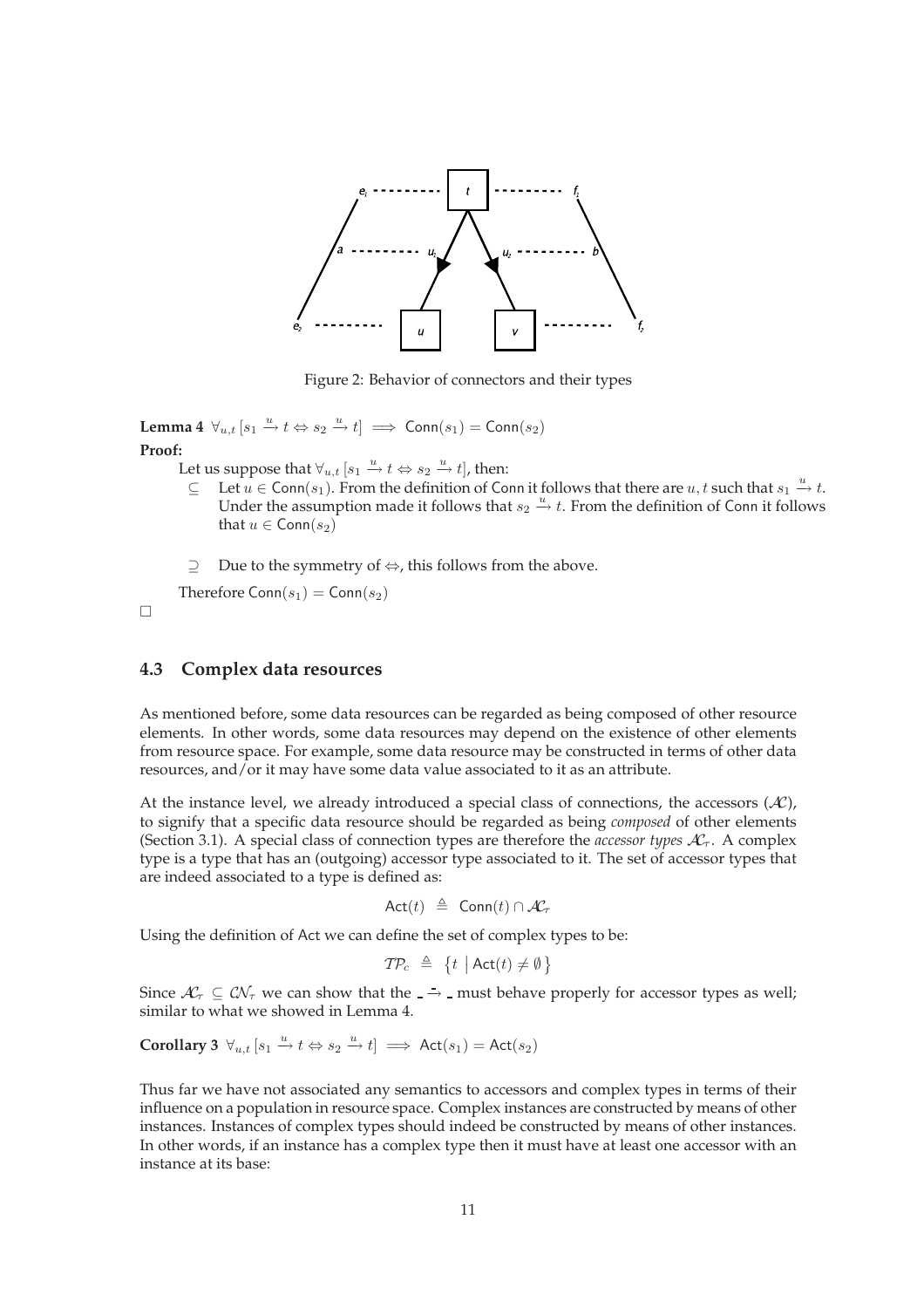

Figure 2: Behavior of connectors and their types

**Lemma 4**  $\forall_{u,t}$   $[s_1 \stackrel{u}{\rightarrow} t \Leftrightarrow s_2 \stackrel{u}{\rightarrow} t] \implies \text{Conn}(s_1) = \text{Conn}(s_2)$ **Proof:**

Let us suppose that  $\forall_{u,t}$   $[s_1 \xrightarrow{u} t \Leftrightarrow s_2 \xrightarrow{u} t]$ , then:

- $\subseteq$  Let  $u \in \text{Conn}(s_1)$ . From the definition of Conn it follows that there are  $u, t$  such that  $s_1 \stackrel{u}{\rightarrow} t$ . Under the assumption made it follows that  $s_2 \stackrel{u}{\rightarrow} t$ . From the definition of Conn it follows that  $u \in \text{Conn}(s_2)$
- ⊇ Due to the symmetry of ⇔, this follows from the above.

Therefore  $Conn(s_1) = Conn(s_2)$ 

 $\Box$ 

### **4.3 Complex data resources**

As mentioned before, some data resources can be regarded as being composed of other resource elements. In other words, some data resources may depend on the existence of other elements from resource space. For example, some data resource may be constructed in terms of other data resources, and/or it may have some data value associated to it as an attribute.

At the instance level, we already introduced a special class of connections, the accessors  $(A<sup>c</sup>)$ , to signify that a specific data resource should be regarded as being *composed* of other elements (Section 3.1). A special class of connection types are therefore the *accessor types*  $A_{\tau}^{\prime}$ . A complex type is a type that has an (outgoing) accessor type associated to it. The set of accessor types that are indeed associated to a type is defined as:

$$
Act(t) \triangleq \text{Conn}(t) \cap \mathcal{K}_{\tau}
$$

Using the definition of Act we can define the set of complex types to be:

$$
\mathcal{TP}_c \triangleq \{t \mid \mathsf{Act}(t) \neq \emptyset\}
$$

Since  $\mathcal{A}_{\tau}$  ⊆  $\mathcal{CN}_{\tau}$  we can show that the  $\overline{\cdot}$  → must behave properly for accessor types as well; similar to what we showed in Lemma 4.

**Corollary 3**  $\forall u, t [s_1 \stackrel{u}{\rightarrow} t \Leftrightarrow s_2 \stackrel{u}{\rightarrow} t] \implies \text{Act}(s_1) = \text{Act}(s_2)$ 

Thus far we have not associated any semantics to accessors and complex types in terms of their influence on a population in resource space. Complex instances are constructed by means of other instances. Instances of complex types should indeed be constructed by means of other instances. In other words, if an instance has a complex type then it must have at least one accessor with an instance at its base: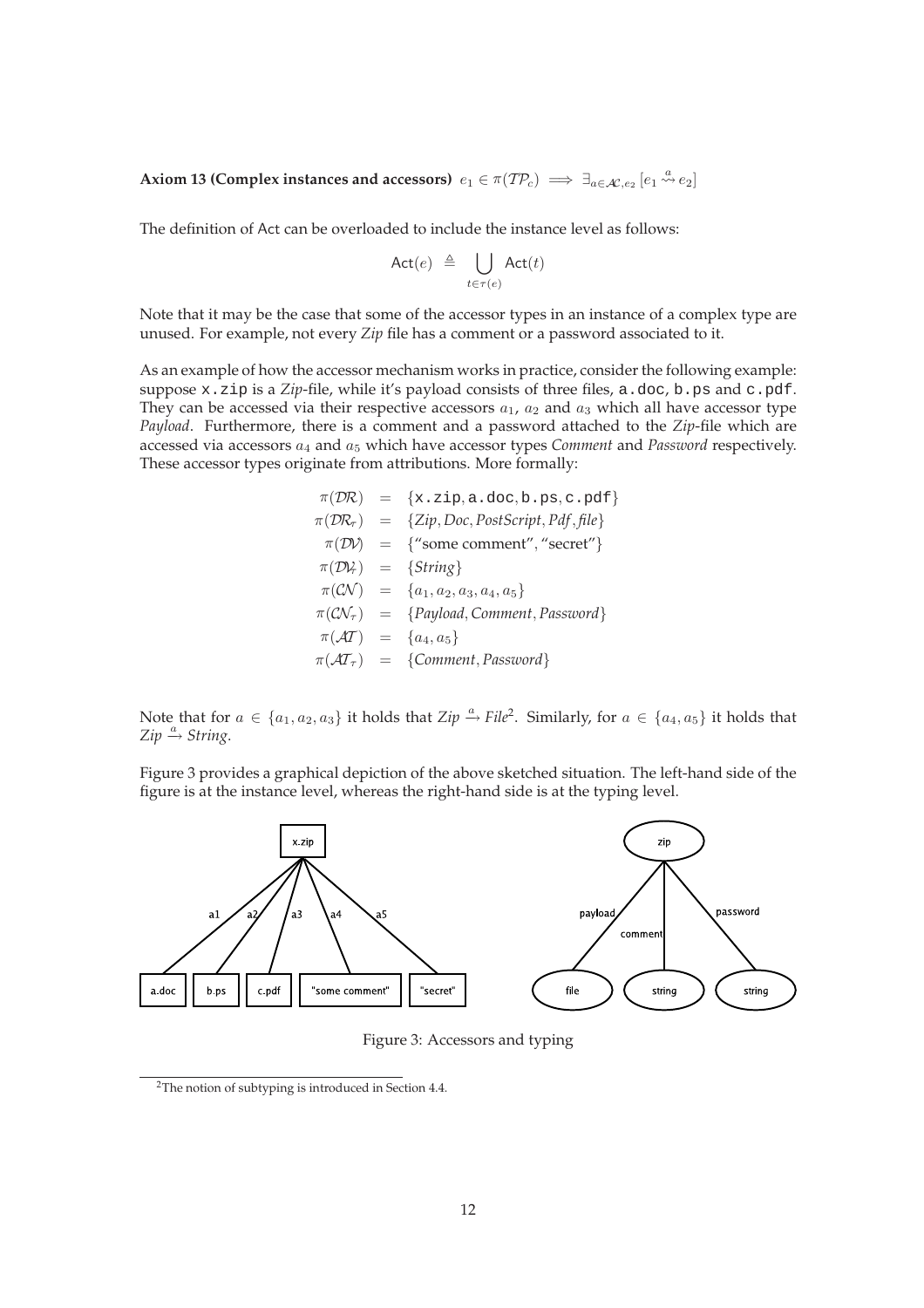Axiom 13 (Complex instances and accessors)  $e_1 \in \pi(\mathcal{TP}_c) \implies \exists_{a \in \mathcal{AC}, e_2} [e_1 \stackrel{a}{\leadsto} e_2]$ 

The definition of Act can be overloaded to include the instance level as follows:

$$
\mathsf{Act}(e) \triangleq \bigcup_{t \in \tau(e)} \mathsf{Act}(t)
$$

Note that it may be the case that some of the accessor types in an instance of a complex type are unused. For example, not every *Zip* file has a comment or a password associated to it.

As an example of how the accessor mechanism works in practice, consider the following example: suppose x.zip is a *Zip*-file, while it's payload consists of three files, a.doc, b.ps and c.pdf. They can be accessed via their respective accessors  $a_1$ ,  $a_2$  and  $a_3$  which all have accessor type *Payload*. Furthermore, there is a comment and a password attached to the *Zip*-file which are accessed via accessors  $a_4$  and  $a_5$  which have accessor types *Comment* and *Password* respectively. These accessor types originate from attributions. More formally:

$$
\pi(\mathcal{D}R) = \{x.\text{zip}, a.\text{doc}, b.\text{ps}, c.\text{pdf}\}\n\pi(\mathcal{D}R_{\tau}) = \{Zip, Doc, PostScript, Pdf, file\}\n\pi(\mathcal{D}V) = \{\text{''some comment''}, \text{''secret''}\}\n\pi(\mathcal{D}V) = \{String\}\n\pi(\mathcal{C}V) = \{a_1, a_2, a_3, a_4, a_5\}\n\pi(\mathcal{C}V_{\tau}) = \{Payload, Comment, Password\}\n\pi(\mathcal{AT}) = \{a_4, a_5\}\n\pi(\mathcal{AT}_{\tau}) = \{Comment, Password\}
$$

Note that for  $a \in \{a_1, a_2, a_3\}$  it holds that  $\mathbb{Z}ip \xrightarrow{a} \mathbb{Z}ill^2$ . Similarly, for  $a \in \{a_4, a_5\}$  it holds that  $Zip \xrightarrow{a} String$ .

Figure 3 provides a graphical depiction of the above sketched situation. The left-hand side of the figure is at the instance level, whereas the right-hand side is at the typing level.



Figure 3: Accessors and typing

<sup>2</sup>The notion of subtyping is introduced in Section 4.4.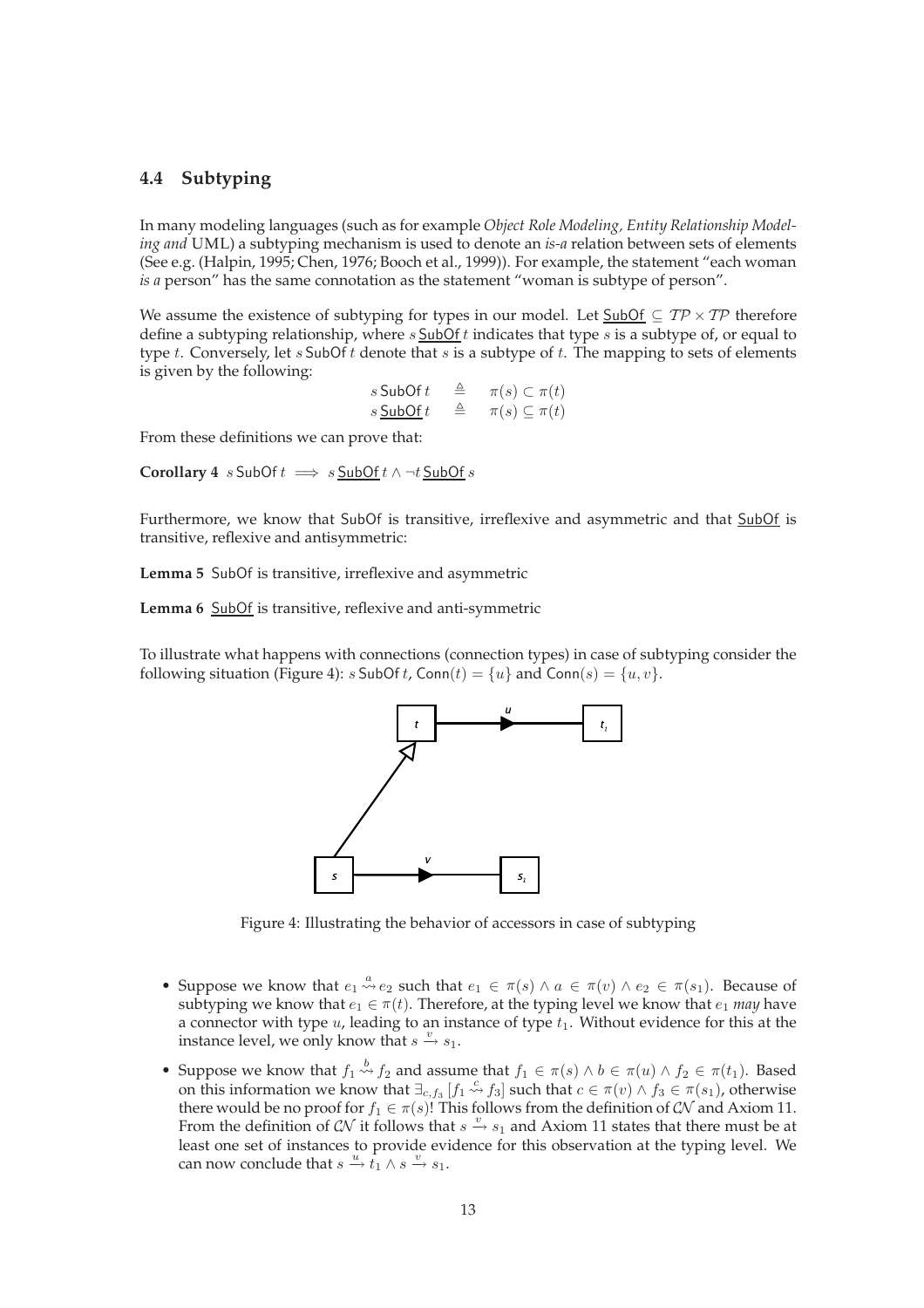### **4.4 Subtyping**

In many modeling languages (such as for example *Object Role Modeling, Entity Relationship Modeling and* UML) a subtyping mechanism is used to denote an *is-a* relation between sets of elements (See e.g. (Halpin, 1995; Chen, 1976; Booch et al., 1999)). For example, the statement "each woman *is a* person" has the same connotation as the statement "woman is subtype of person".

We assume the existence of subtyping for types in our model. Let SubOf  $\subseteq$  TP  $\times$  TP therefore define a subtyping relationship, where  $s$  SubOf  $t$  indicates that type  $s$  is a subtype of, or equal to type t. Conversely, let  $s$  SubOf t denote that  $s$  is a subtype of  $t$ . The mapping to sets of elements is given by the following:

> $s$  SubOf  $t \stackrel{\triangle}{=} \pi(s) \subset \pi(t)$  $s \underline{\text{SubOf}} t \quad \triangleq \quad \pi(s) \subseteq \pi(t)$

From these definitions we can prove that:

**Corollary 4** s SubOf  $t \implies s$  SubOf  $t \wedge \neg t$  SubOf s

Furthermore, we know that SubOf is transitive, irreflexive and asymmetric and that SubOf is transitive, reflexive and antisymmetric:

**Lemma 5** SubOf is transitive, irreflexive and asymmetric

**Lemma 6** SubOf is transitive, reflexive and anti-symmetric

To illustrate what happens with connections (connection types) in case of subtyping consider the following situation (Figure 4):  $s$  SubOf  $t$ , Conn $(t) = \{u\}$  and Conn $(s) = \{u, v\}$ .



Figure 4: Illustrating the behavior of accessors in case of subtyping

- Suppose we know that  $e_1 \stackrel{a}{\leadsto} e_2$  such that  $e_1 \in \pi(s) \land a \in \pi(v) \land e_2 \in \pi(s_1)$ . Because of subtyping we know that  $e_1 \in \pi(t)$ . Therefore, at the typing level we know that  $e_1$  *may* have a connector with type  $u$ , leading to an instance of type  $t_1$ . Without evidence for this at the instance level, we only know that  $s \stackrel{v}{\rightarrow} s_1$ .
- Suppose we know that  $f_1 \stackrel{b}{\leadsto} f_2$  and assume that  $f_1 \in \pi(s) \land b \in \pi(u) \land f_2 \in \pi(t_1)$ . Based on this information we know that  $\exists_{c,f_3} [f_1 \stackrel{c}{\leadsto} f_3]$  such that  $c \in \pi(v) \land f_3 \in \pi(s_1)$ , otherwise there would be no proof for  $f_1 \in \pi(s)$ ! This follows from the definition of CN and Axiom 11. From the definition of CN it follows that  $s \stackrel{v}{\rightarrow} s_1$  and Axiom 11 states that there must be at least one set of instances to provide evidence for this observation at the typing level. We can now conclude that  $s \stackrel{u}{\rightarrow} t_1 \wedge s \stackrel{v}{\rightarrow} s_1$ .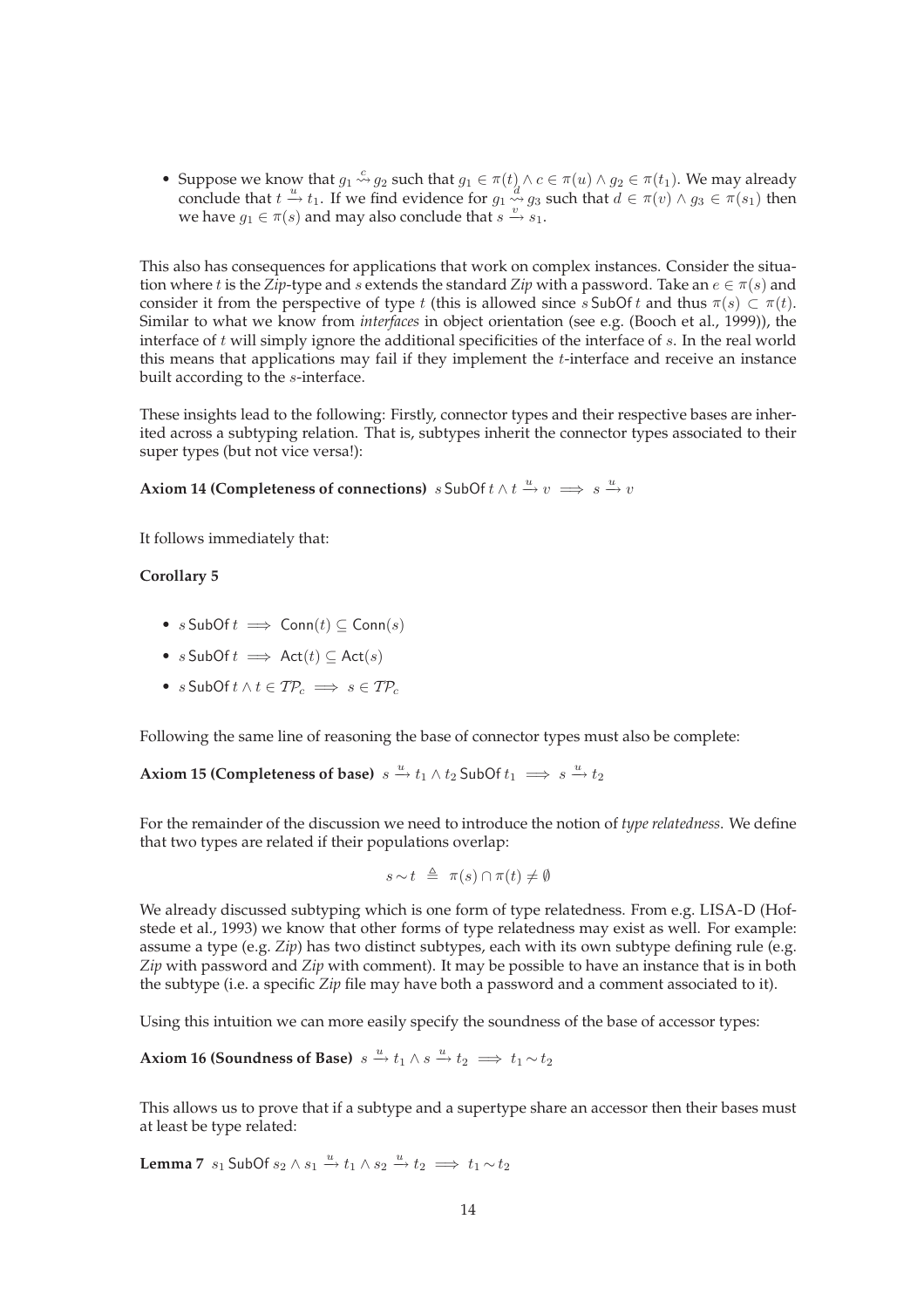• Suppose we know that  $g_1 \stackrel{c}{\leadsto} g_2$  such that  $g_1 \in \pi(t) \land c \in \pi(u) \land g_2 \in \pi(t_1)$ . We may already conclude that  $t \stackrel{u}{\rightarrow} t_1$ . If we find evidence for  $g_1 \stackrel{d}{\rightsquigarrow} g_3$  such that  $d \in \pi(v) \wedge g_3 \in \pi(s_1)$  then we have  $g_1 \in \pi(s)$  and may also conclude that  $s \stackrel{v}{\rightarrow} s_1$ .

This also has consequences for applications that work on complex instances. Consider the situation where t is the *Zip*-type and s extends the standard *Zip* with a password. Take an  $e \in \pi(s)$  and consider it from the perspective of type t (this is allowed since s SubOf t and thus  $\pi(s) \subset \pi(t)$ . Similar to what we know from *interfaces* in object orientation (see e.g. (Booch et al., 1999)), the interface of  $t$  will simply ignore the additional specificities of the interface of  $s$ . In the real world this means that applications may fail if they implement the  $t$ -interface and receive an instance built according to the s-interface.

These insights lead to the following: Firstly, connector types and their respective bases are inherited across a subtyping relation. That is, subtypes inherit the connector types associated to their super types (but not vice versa!):

**Axiom 14 (Completeness of connections)**  $s$  SubOf  $t \wedge t \stackrel{u}{\rightarrow} v \implies s \stackrel{u}{\rightarrow} v$ 

It follows immediately that:

#### **Corollary 5**

- $s$  SubOf  $t \implies$  Conn $(t) \subset$  Conn $(s)$
- $s$  SubOf  $t \implies$  Act $(t) \subseteq$  Act $(s)$
- $s$  SubOf  $t \wedge t \in TP_c \implies s \in TP_c$

Following the same line of reasoning the base of connector types must also be complete:

**Axiom 15 (Completeness of base)**  $s \xrightarrow{u} t_1 \wedge t_2$  SubOf  $t_1 \implies s \xrightarrow{u} t_2$ 

For the remainder of the discussion we need to introduce the notion of *type relatedness*. We define that two types are related if their populations overlap:

$$
s \sim t \ \triangleq \ \pi(s) \cap \pi(t) \neq \emptyset
$$

We already discussed subtyping which is one form of type relatedness. From e.g. LISA-D (Hofstede et al., 1993) we know that other forms of type relatedness may exist as well. For example: assume a type (e.g. *Zip*) has two distinct subtypes, each with its own subtype defining rule (e.g. *Zip* with password and *Zip* with comment). It may be possible to have an instance that is in both the subtype (i.e. a specific *Zip* file may have both a password and a comment associated to it).

Using this intuition we can more easily specify the soundness of the base of accessor types:

Axi<mark>om 16 (Soundness of Base)</mark>  $s \xrightarrow{u} t_1 \wedge s \xrightarrow{u} t_2 \implies t_1 \sim t_2$ 

This allows us to prove that if a subtype and a supertype share an accessor then their bases must at least be type related:

**Lemma** 7  $s_1$  SubOf  $s_2 \wedge s_1 \stackrel{u}{\rightarrow} t_1 \wedge s_2 \stackrel{u}{\rightarrow} t_2 \implies t_1 \sim t_2$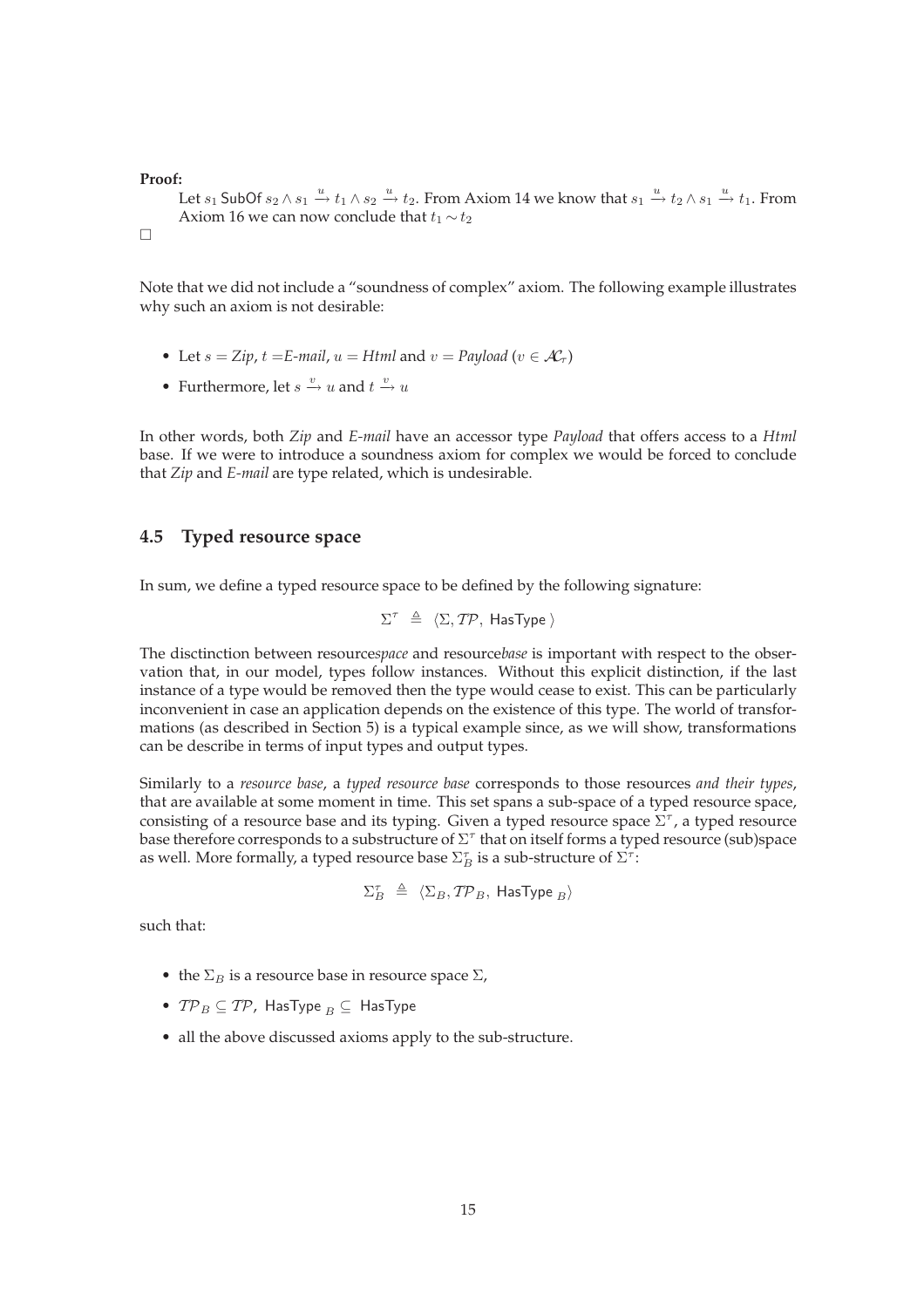**Proof:**

Let  $s_1$  SubOf  $s_2 \wedge s_1 \stackrel{u}{\rightarrow} t_1 \wedge s_2 \stackrel{u}{\rightarrow} t_2$ . From Axiom 14 we know that  $s_1 \stackrel{u}{\rightarrow} t_2 \wedge s_1 \stackrel{u}{\rightarrow} t_1$ . From Axiom 16 we can now conclude that  $t_1 \sim t_2$ 

```
\Box
```
Note that we did not include a "soundness of complex" axiom. The following example illustrates why such an axiom is not desirable:

- Let  $s = Zip, t = E-mail, u = Htrul$  and  $v = Payload$  ( $v \in \mathcal{A}_{\tau}$ )
- Furthermore, let  $s \xrightarrow{v} u$  and  $t \xrightarrow{v} u$

In other words, both *Zip* and *E-mail* have an accessor type *Payload* that offers access to a *Html* base. If we were to introduce a soundness axiom for complex we would be forced to conclude that *Zip* and *E-mail* are type related, which is undesirable.

## **4.5 Typed resource space**

In sum, we define a typed resource space to be defined by the following signature:

$$
\Sigma^{\tau} \triangleq \langle \Sigma, \mathcal{TP}, \text{ HasType} \rangle
$$

The disctinction between resource*space* and resource*base* is important with respect to the observation that, in our model, types follow instances. Without this explicit distinction, if the last instance of a type would be removed then the type would cease to exist. This can be particularly inconvenient in case an application depends on the existence of this type. The world of transformations (as described in Section 5) is a typical example since, as we will show, transformations can be describe in terms of input types and output types.

Similarly to a *resource base*, a *typed resource base* corresponds to those resources *and their types*, that are available at some moment in time. This set spans a sub-space of a typed resource space, consisting of a resource base and its typing. Given a typed resource space  $\Sigma^{\tau}$ , a typed resource base therefore corresponds to a substructure of  $\Sigma^\tau$  that on itself forms a typed resource (sub)space as well. More formally, a typed resource base  $\Sigma_B^\tau$  is a sub-structure of  $\Sigma^\tau$ :

$$
\Sigma_B^{\tau} \ \triangleq \ \langle \Sigma_B, \mathcal{TP}_B, \ \mathsf{HasType}\ _B \rangle
$$

such that:

- the  $\Sigma_B$  is a resource base in resource space  $\Sigma$ ,
- $TP_B \subseteq TP$ , HasType  $_B \subseteq$  HasType
- all the above discussed axioms apply to the sub-structure.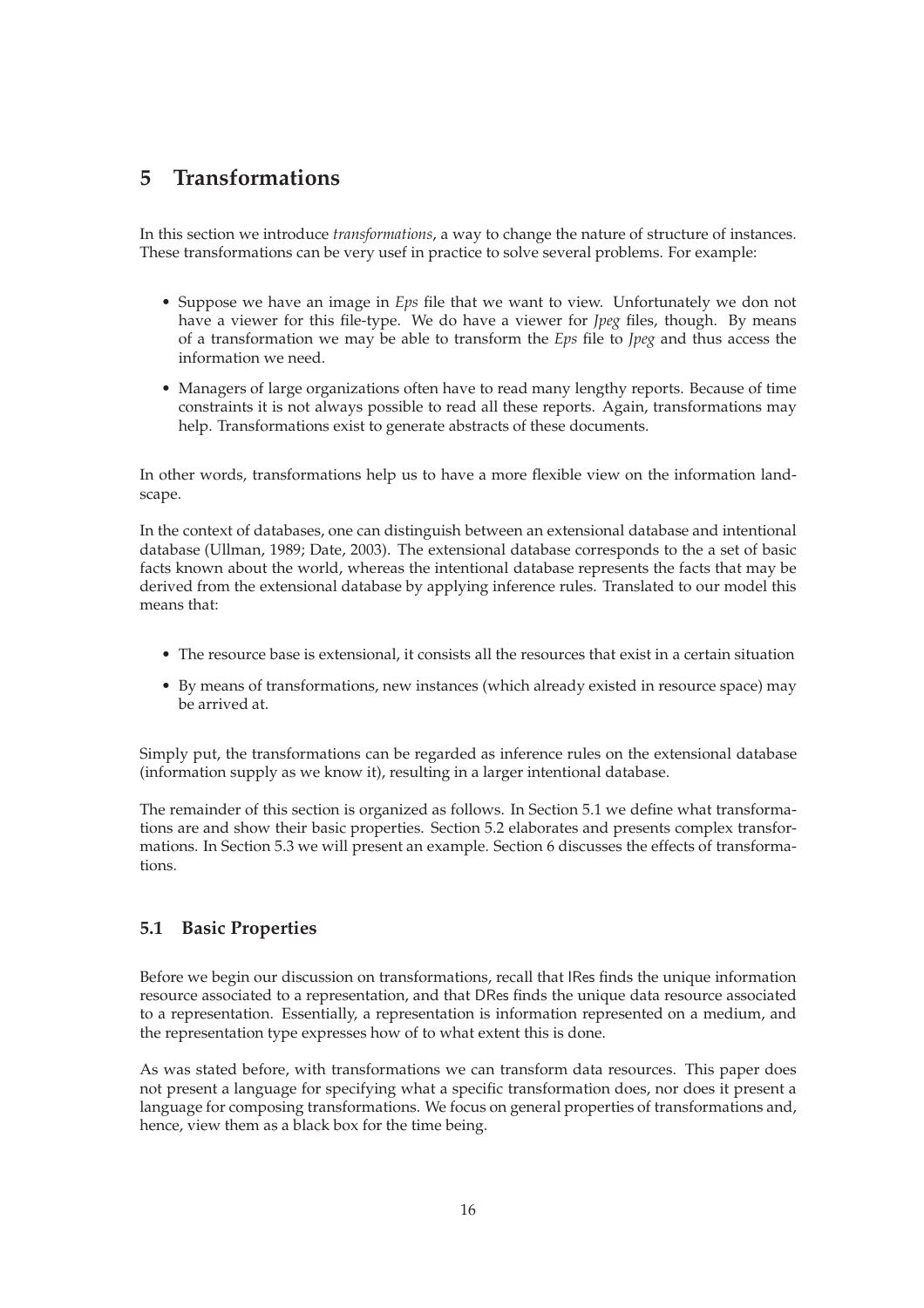## **5 Transformations**

In this section we introduce *transformations*, a way to change the nature of structure of instances. These transformations can be very usef in practice to solve several problems. For example:

- Suppose we have an image in *Eps* file that we want to view. Unfortunately we don not have a viewer for this file-type. We do have a viewer for *Jpeg* files, though. By means of a transformation we may be able to transform the *Eps* file to *Jpeg* and thus access the information we need.
- Managers of large organizations often have to read many lengthy reports. Because of time constraints it is not always possible to read all these reports. Again, transformations may help. Transformations exist to generate abstracts of these documents.

In other words, transformations help us to have a more flexible view on the information landscape.

In the context of databases, one can distinguish between an extensional database and intentional database (Ullman, 1989; Date, 2003). The extensional database corresponds to the a set of basic facts known about the world, whereas the intentional database represents the facts that may be derived from the extensional database by applying inference rules. Translated to our model this means that:

- The resource base is extensional, it consists all the resources that exist in a certain situation
- By means of transformations, new instances (which already existed in resource space) may be arrived at.

Simply put, the transformations can be regarded as inference rules on the extensional database (information supply as we know it), resulting in a larger intentional database.

The remainder of this section is organized as follows. In Section 5.1 we define what transformations are and show their basic properties. Section 5.2 elaborates and presents complex transformations. In Section 5.3 we will present an example. Section 6 discusses the effects of transformations.

### **5.1 Basic Properties**

Before we begin our discussion on transformations, recall that IRes finds the unique information resource associated to a representation, and that DRes finds the unique data resource associated to a representation. Essentially, a representation is information represented on a medium, and the representation type expresses how of to what extent this is done.

As was stated before, with transformations we can transform data resources. This paper does not present a language for specifying what a specific transformation does, nor does it present a language for composing transformations. We focus on general properties of transformations and, hence, view them as a black box for the time being.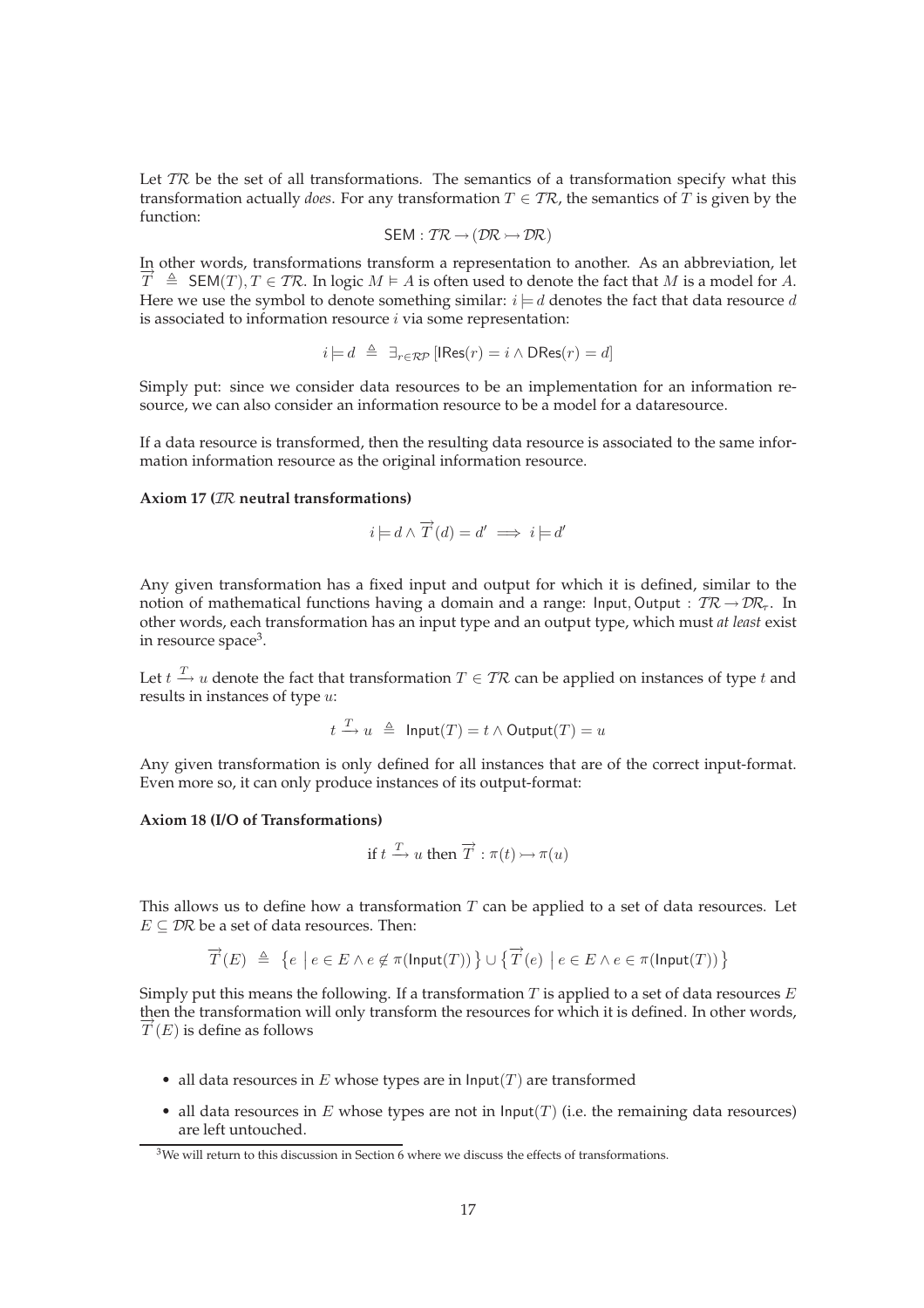Let  $TR$  be the set of all transformations. The semantics of a transformation specify what this transformation actually *does*. For any transformation  $T \in \mathcal{TR}$ , the semantics of  $\overline{T}$  is given by the function:

$$
SEM: \mathcal{TR} \rightarrow (\mathcal{DR} \rightarrowtail \mathcal{DR})
$$

In other words, transformations transform a representation to another. As an abbreviation, let  $\overrightarrow{T} \triangleq$  SEM(*T*), *T* ∈ *TR*. In logic *M*  $\models$  *A* is often used to denote the fact that *M* is a model for *A*. Here we use the symbol to denote something similar:  $i = d$  denotes the fact that data resource d is associated to information resource  $i$  via some representation:

$$
i \models d \triangleq \exists_{r \in \mathcal{RP}} [\text{IRes}(r) = i \land \text{DRes}(r) = d]
$$

Simply put: since we consider data resources to be an implementation for an information resource, we can also consider an information resource to be a model for a dataresource.

If a data resource is transformed, then the resulting data resource is associated to the same information information resource as the original information resource.

#### **Axiom 17 (**IR **neutral transformations)**

$$
i \models d \land \overrightarrow{T}(d) = d' \implies i \models d'
$$

Any given transformation has a fixed input and output for which it is defined, similar to the notion of mathematical functions having a domain and a range: Input, Output :  $TR \rightarrow DR_7$ . In other words, each transformation has an input type and an output type, which must *at least* exist in resource space<sup>3</sup>.

Let  $t \xrightarrow{T} u$  denote the fact that transformation  $T \in T\mathcal{R}$  can be applied on instances of type  $t$  and results in instances of type u:

$$
t \xrightarrow{T} u \triangleq \text{Input}(T) = t \land \text{Output}(T) = u
$$

Any given transformation is only defined for all instances that are of the correct input-format. Even more so, it can only produce instances of its output-format:

#### **Axiom 18 (I/O of Transformations)**

if 
$$
t \xrightarrow{T}
$$
 u then  $\overrightarrow{T}$  :  $\pi(t) \rightarrow \pi(u)$ 

This allows us to define how a transformation  $T$  can be applied to a set of data resources. Let  $E \subseteq \mathcal{D}R$  be a set of data resources. Then:

$$
\overrightarrow{T}(E) \ \triangleq \ \big\{ e \ \big| \ e \in E \wedge e \not \in \pi(\mathsf{Input}(T)) \big\} \cup \big\{ \overrightarrow{T}(e) \ \big| \ e \in E \wedge e \in \pi(\mathsf{Input}(T)) \big\}
$$

Simply put this means the following. If a transformation  $T$  is applied to a set of data resources  $E$ then the transformation will only transform the resources for which it is defined. In other words,  $\overrightarrow{T}(E)$  is define as follows

- all data resources in  $E$  whose types are in  $\text{Input}(T)$  are transformed
- all data resources in  $E$  whose types are not in  $\text{Input}(T)$  (i.e. the remaining data resources) are left untouched.

<sup>&</sup>lt;sup>3</sup>We will return to this discussion in Section 6 where we discuss the effects of transformations.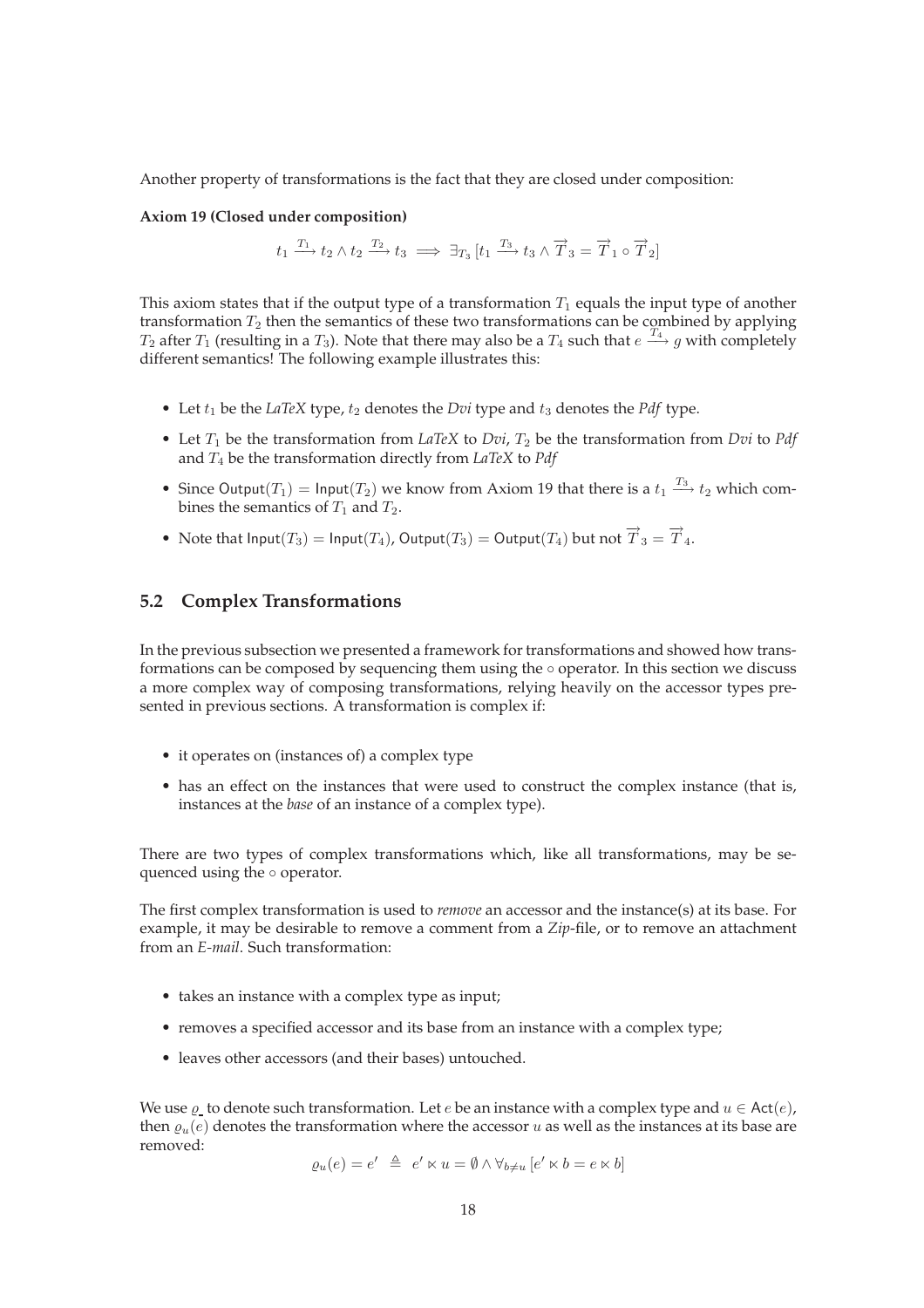Another property of transformations is the fact that they are closed under composition:

#### **Axiom 19 (Closed under composition)**

$$
t_1 \xrightarrow{T_1} t_2 \wedge t_2 \xrightarrow{T_2} t_3 \implies \exists_{T_3} \left[t_1 \xrightarrow{T_3} t_3 \wedge \overrightarrow{T}_3 = \overrightarrow{T}_1 \circ \overrightarrow{T}_2\right]
$$

This axiom states that if the output type of a transformation  $T_1$  equals the input type of another transformation  $T_2$  then the semantics of these two transformations can be combined by applying  $T_2$  after  $T_1$  (resulting in a  $T_3$ ). Note that there may also be a  $T_4$  such that  $e \stackrel{T_4}{\longrightarrow} g$  with completely different semantics! The following example illustrates this:

- Let  $t_1$  be the *LaTeX* type,  $t_2$  denotes the *Dvi* type and  $t_3$  denotes the *Pdf* type.
- Let  $T_1$  be the transformation from *LaTeX* to *Dvi*,  $T_2$  be the transformation from *Dvi* to *Pdf* and T<sup>4</sup> be the transformation directly from *LaTeX* to *Pdf*
- Since Output $(T_1) = \text{Input}(T_2)$  we know from Axiom 19 that there is a  $t_1 \xrightarrow{T_3} t_2$  which combines the semantics of  $T_1$  and  $T_2$ .
- Note that  $\mathsf{Input}(T_3) = \mathsf{Input}(T_4)$ ,  $\mathsf{Output}(T_3) = \mathsf{Output}(T_4)$  but not  $\overrightarrow{T}_3 = \overrightarrow{T}_4$ .

#### **5.2 Complex Transformations**

In the previous subsection we presented a framework for transformations and showed how transformations can be composed by sequencing them using the ◦ operator. In this section we discuss a more complex way of composing transformations, relying heavily on the accessor types presented in previous sections. A transformation is complex if:

- it operates on (instances of) a complex type
- has an effect on the instances that were used to construct the complex instance (that is, instances at the *base* of an instance of a complex type).

There are two types of complex transformations which, like all transformations, may be sequenced using the ∘ operator.

The first complex transformation is used to *remove* an accessor and the instance(s) at its base. For example, it may be desirable to remove a comment from a *Zip*-file, or to remove an attachment from an *E-mail*. Such transformation:

- takes an instance with a complex type as input;
- removes a specified accessor and its base from an instance with a complex type;
- leaves other accessors (and their bases) untouched.

We use  $\varrho$  to denote such transformation. Let  $e$  be an instance with a complex type and  $u \in \text{Act}(e)$ , then  $\varrho_u(e)$  denotes the transformation where the accessor u as well as the instances at its base are removed:

$$
\varrho_u(e) = e' \triangleq e' \ltimes u = \emptyset \wedge \forall_{b \neq u} [e' \ltimes b = e \ltimes b]
$$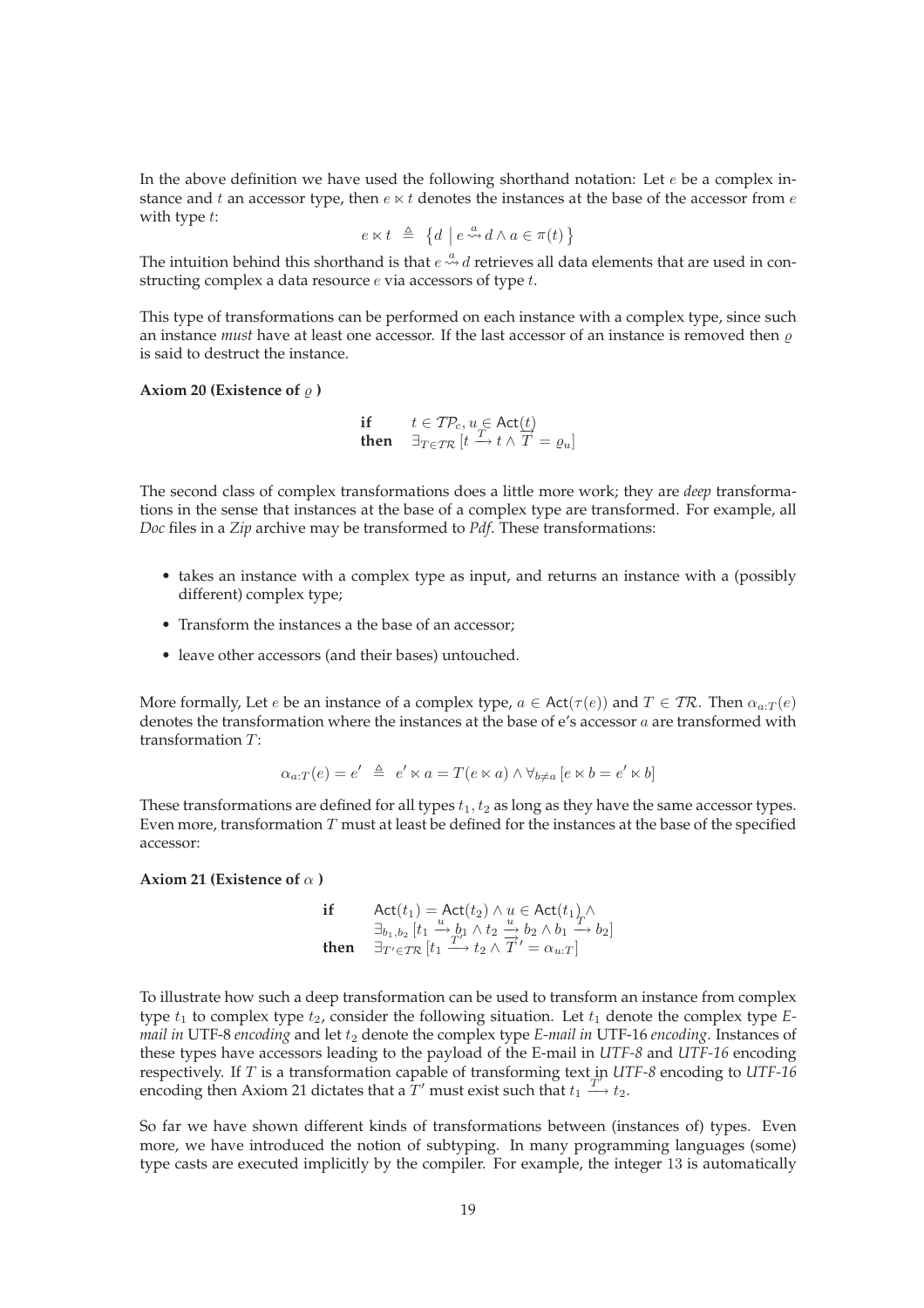In the above definition we have used the following shorthand notation: Let  $e$  be a complex instance and t an accessor type, then  $e \ltimes t$  denotes the instances at the base of the accessor from  $e$ with type t:

$$
e \ltimes t \ \triangleq \ \{d \mid e \stackrel{a}{\leadsto} d \land a \in \pi(t)\}
$$

The intuition behind this shorthand is that  $e \stackrel{a}{\leadsto} d$  retrieves all data elements that are used in constructing complex a data resource  $e$  via accessors of type  $t$ .

This type of transformations can be performed on each instance with a complex type, since such an instance *must* have at least one accessor. If the last accessor of an instance is removed then  $\rho$ is said to destruct the instance.

Axiom 20 (Existence of  $\varrho$  )

$$
\begin{array}{ll}\n\text{if} & t \in \mathit{TP}_c, u \in \mathsf{Act}(\underline{t}) \\
\text{then} & \exists_{T \in \mathit{TR}} \left[t \xrightarrow{T} t \land \overline{T} = \varrho_u\right]\n\end{array}
$$

The second class of complex transformations does a little more work; they are *deep* transformations in the sense that instances at the base of a complex type are transformed. For example, all *Doc* files in a *Zip* archive may be transformed to *Pdf*. These transformations:

- takes an instance with a complex type as input, and returns an instance with a (possibly different) complex type;
- Transform the instances a the base of an accessor;
- leave other accessors (and their bases) untouched.

More formally, Let *e* be an instance of a complex type,  $a \in \text{Act}(\tau(e))$  and  $T \in \text{TR}$ . Then  $\alpha_{a:T}(e)$ denotes the transformation where the instances at the base of e's accessor a are transformed with transformation  $T$ :

$$
\alpha_{a:T}(e) = e' \triangleq e' \ltimes a = T(e \ltimes a) \wedge \forall_{b \neq a} [e \ltimes b = e' \ltimes b]
$$

These transformations are defined for all types  $t_1, t_2$  as long as they have the same accessor types. Even more, transformation  $T$  must at least be defined for the instances at the base of the specified accessor:

#### **Axiom 21 (Existence of**  $\alpha$ )

\n
$$
\text{if } \text{Act}(t_1) = \text{Act}(t_2) \land u \in \text{Act}(t_1) \land \text{let}(t_2) \land u \in \text{Act}(t_1) \land \text{let}(t_1) \land u \in \text{Act}(t_1) \land u \in \text{Act}(t_1) \land u \in \text{let}(t_1) \land u \in \text{let}(t_1) \land u \in \text{let}(t_1) \land u \in \text{let}(t_1) \land u \in \text{let}(t_1) \land u \in \text{let}(t_1) \land u \in \text{let}(t_1) \land u \in \text{let}(t_1) \land u \in \text{let}(t_1) \land u \in \text{let}(t_1) \land u \in \text{let}(t_1) \land u \in \text{let}(t_1) \land u \in \text{let}(t_1) \land u \in \text{let}(t_1) \land u \in \text{let}(t_1) \land u \in \text{let}(t_1) \land u \in \text{let}(t_1) \land u \in \text{let}(t_1) \land u \in \text{let}(t_1) \land u \in \text{let}(t_1) \land u \in \text{let}(t_1) \land u \in \text{let}(t_1) \land u \in \text{let}(t_1) \land u \in \text{let}(t_1) \land u \in \text{let}(t_1) \land u \in \text{let}(t_1) \land u \in \text{let}(t_1) \land u \in \text{let}(t_1) \land u \in \text{let}(t_1) \land u \in \text{let}(t_1) \land u \in \text{let}(t_1) \land u \in \text{let}(t_1) \land u \in \text{let}(t_1) \land u \in \text{let}(t_1) \land u \in \text{let}(t_1) \land u \in \text{let}(t_1) \land u \in \text{let}(t_1) \land u \in \text{let}(t_1) \land u \in \text{let}(t_1) \land u \in \text{let}(t_1) \land u \in \text{let}(t_1) \land u \in \text{let}(t_1) \land u \in \text{let}(t_1) \land u \in \text{let}(t_1) \land u \in \text{let}(t_1) \land u \in \text{let}(t_1) \land u \in \text{let}(t_1)
$$

To illustrate how such a deep transformation can be used to transform an instance from complex type  $t_1$  to complex type  $t_2$ , consider the following situation. Let  $t_1$  denote the complex type  $E$ *mail in* UTF-8 *encoding* and let  $t_2$  denote the complex type *E-mail in* UTF-16 *encoding*. Instances of these types have accessors leading to the payload of the E-mail in *UTF-8* and *UTF-16* encoding respectively. If T is a transformation capable of transforming text in *UTF-8* encoding to *UTF-16* ′ encoding then Axiom 21 dictates that a  $T'$  must exist such that  $t_1 \stackrel{T'}{\longrightarrow} t_2$ .

So far we have shown different kinds of transformations between (instances of) types. Even more, we have introduced the notion of subtyping. In many programming languages (some) type casts are executed implicitly by the compiler. For example, the integer 13 is automatically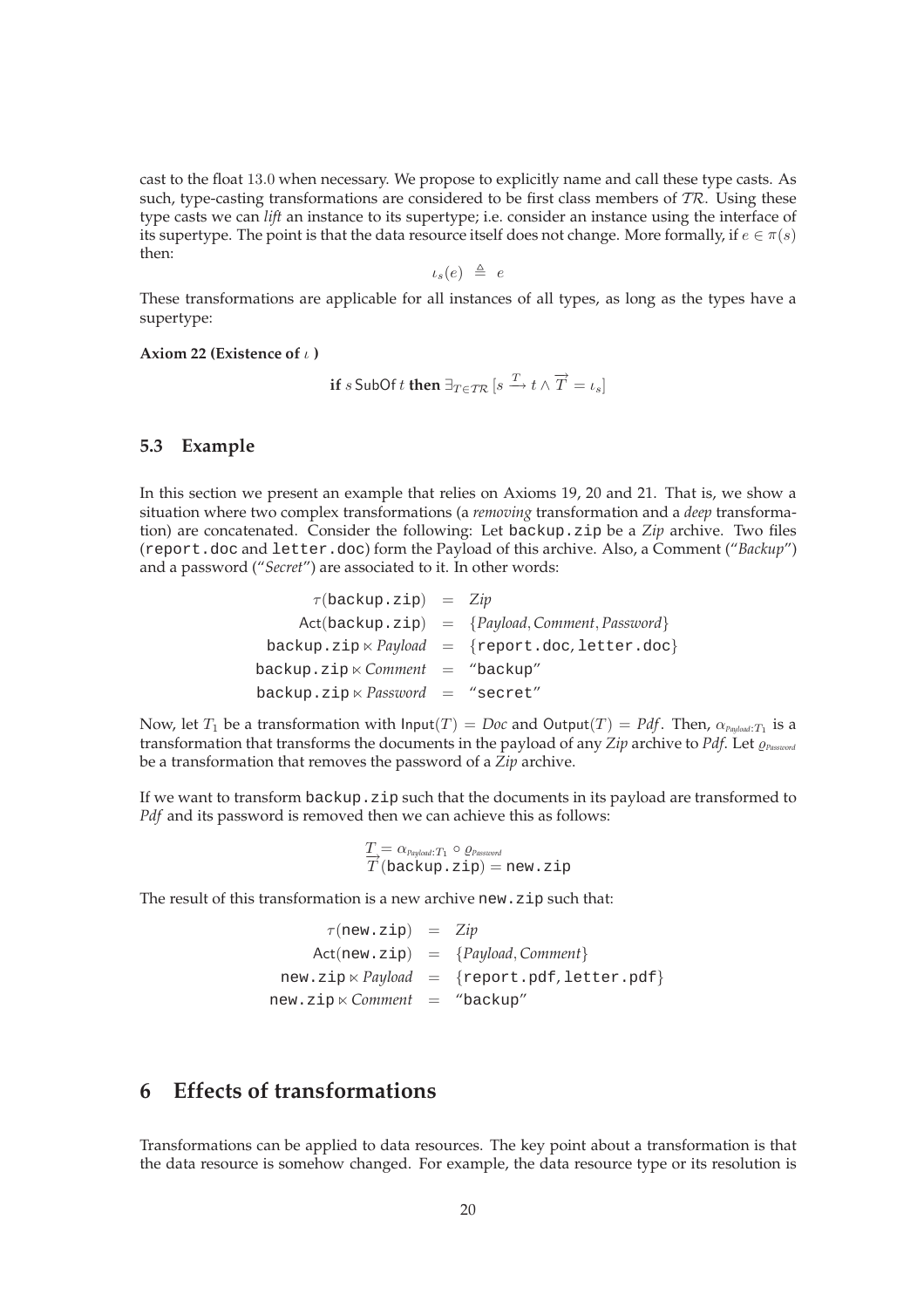cast to the float 13.0 when necessary. We propose to explicitly name and call these type casts. As such, type-casting transformations are considered to be first class members of  $TR$ . Using these type casts we can *lift* an instance to its supertype; i.e. consider an instance using the interface of its supertype. The point is that the data resource itself does not change. More formally, if  $e \in \pi(s)$ then:

$$
\iota_s(e) \ \triangleq \ e
$$

These transformations are applicable for all instances of all types, as long as the types have a supertype:

**Axiom 22 (Existence of** ι **)**

$$
\text{if } s \text{ SubOf } t \text{ then } \exists_{T \in \mathcal{TR}} \left[ s \xrightarrow{T} t \wedge \overrightarrow{T} = \iota_s \right]
$$

#### **5.3 Example**

In this section we present an example that relies on Axioms 19, 20 and 21. That is, we show a situation where two complex transformations (a *removing* transformation and a *deep* transformation) are concatenated. Consider the following: Let backup.zip be a *Zip* archive. Two files (report.doc and letter.doc) form the Payload of this archive. Also, a Comment ("*Backup*") and a password ("*Secret*") are associated to it. In other words:

| $\tau$ (backup.zip) = Zip                       |                                                        |
|-------------------------------------------------|--------------------------------------------------------|
|                                                 | $Act(backup,zip) = {Payload, Comment, Password}$       |
|                                                 | backup.zip $\times$ Payload = {report.doc, letter.doc} |
| $backward = "background"$                       |                                                        |
| backup.zip $\ltimes$ <i>Password</i> = "secret" |                                                        |

Now, let  $T_1$  be a transformation with Input $(T)=Doc$  and  $\mathsf{Output}(T)=Pdf.$  Then,  $\alpha_{\mathit{Payload}:T_1}$  is a transformation that transforms the documents in the payload of any *Zip* archive to *Pdf*. Let ̺*Password* be a transformation that removes the password of a *Zip* archive.

If we want to transform backup. zip such that the documents in its payload are transformed to *Pdf* and its password is removed then we can achieve this as follows:

$$
\frac{T}{T} = \alpha_{\text{Payload}:T_1} \circ \varrho_{\text{Password}}
$$
\n
$$
\overrightarrow{T} (\text{backup}.zip) = new.zip
$$

The result of this transformation is a new archive new.zip such that:

| $\tau$ (new.zip) = Zip              |                                                                                   |
|-------------------------------------|-----------------------------------------------------------------------------------|
|                                     | $Act(new,zip) = {Payload, Comment}$                                               |
|                                     | $new.\mathsf{zip} \ltimes \mathsf{Payload} = \{ \text{report.pdf, letter.pdf} \}$ |
| new.zip × <i>Comment =</i> "backup" |                                                                                   |

## **6 Effects of transformations**

Transformations can be applied to data resources. The key point about a transformation is that the data resource is somehow changed. For example, the data resource type or its resolution is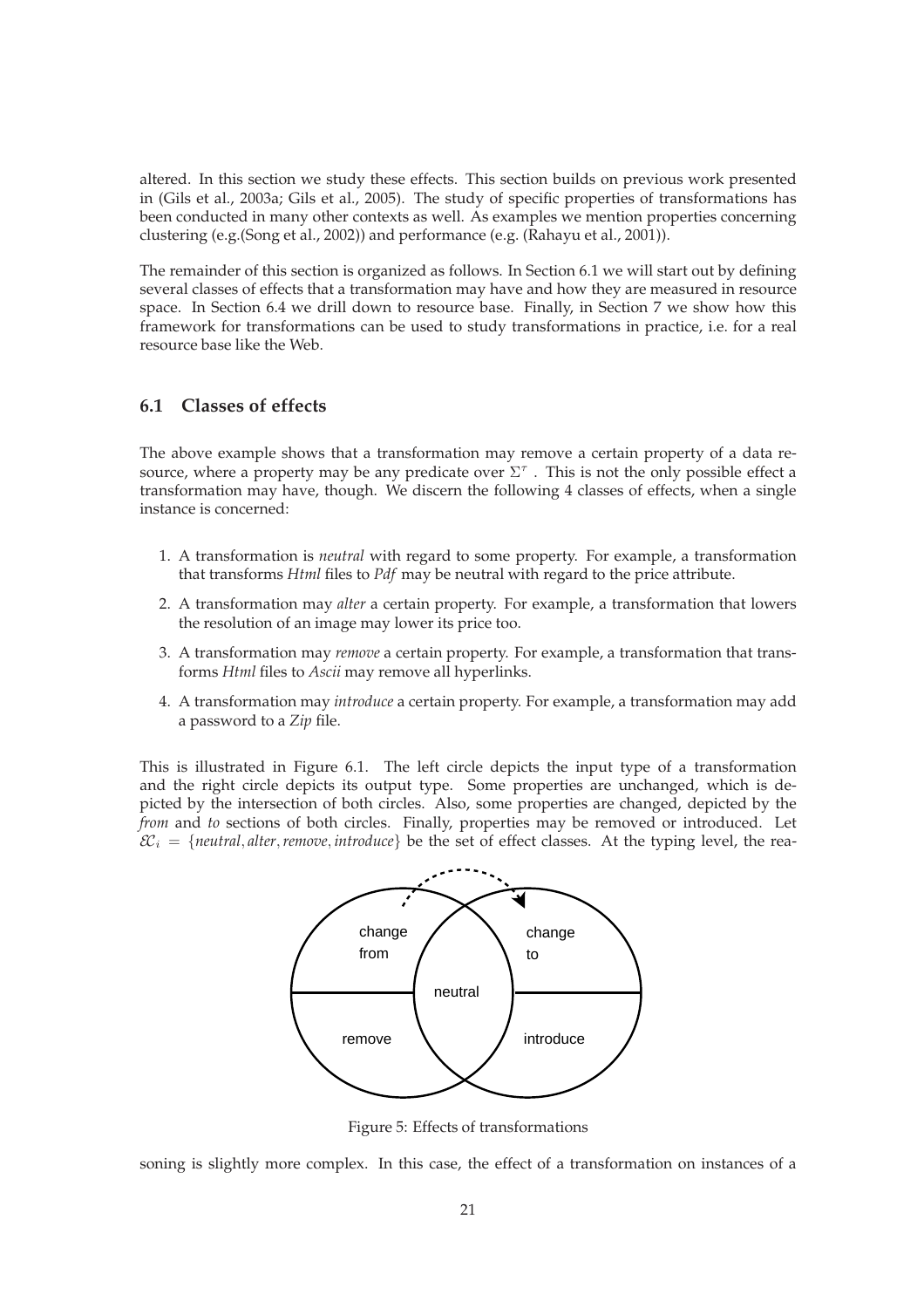altered. In this section we study these effects. This section builds on previous work presented in (Gils et al., 2003a; Gils et al., 2005). The study of specific properties of transformations has been conducted in many other contexts as well. As examples we mention properties concerning clustering (e.g.(Song et al., 2002)) and performance (e.g. (Rahayu et al., 2001)).

The remainder of this section is organized as follows. In Section 6.1 we will start out by defining several classes of effects that a transformation may have and how they are measured in resource space. In Section 6.4 we drill down to resource base. Finally, in Section 7 we show how this framework for transformations can be used to study transformations in practice, i.e. for a real resource base like the Web.

### **6.1 Classes of effects**

The above example shows that a transformation may remove a certain property of a data resource, where a property may be any predicate over  $\Sigma^{\tau}$  . This is not the only possible effect a transformation may have, though. We discern the following 4 classes of effects, when a single instance is concerned:

- 1. A transformation is *neutral* with regard to some property. For example, a transformation that transforms *Html* files to *Pdf* may be neutral with regard to the price attribute.
- 2. A transformation may *alter* a certain property. For example, a transformation that lowers the resolution of an image may lower its price too.
- 3. A transformation may *remove* a certain property. For example, a transformation that transforms *Html* files to *Ascii* may remove all hyperlinks.
- 4. A transformation may *introduce* a certain property. For example, a transformation may add a password to a *Zip* file.

This is illustrated in Figure 6.1. The left circle depicts the input type of a transformation and the right circle depicts its output type. Some properties are unchanged, which is depicted by the intersection of both circles. Also, some properties are changed, depicted by the *from* and *to* sections of both circles. Finally, properties may be removed or introduced. Let  $\mathcal{E}\mathcal{E}_i = \{neutral, alter, remove, introduce\}$  be the set of effect classes. At the typing level, the rea-



Figure 5: Effects of transformations

soning is slightly more complex. In this case, the effect of a transformation on instances of a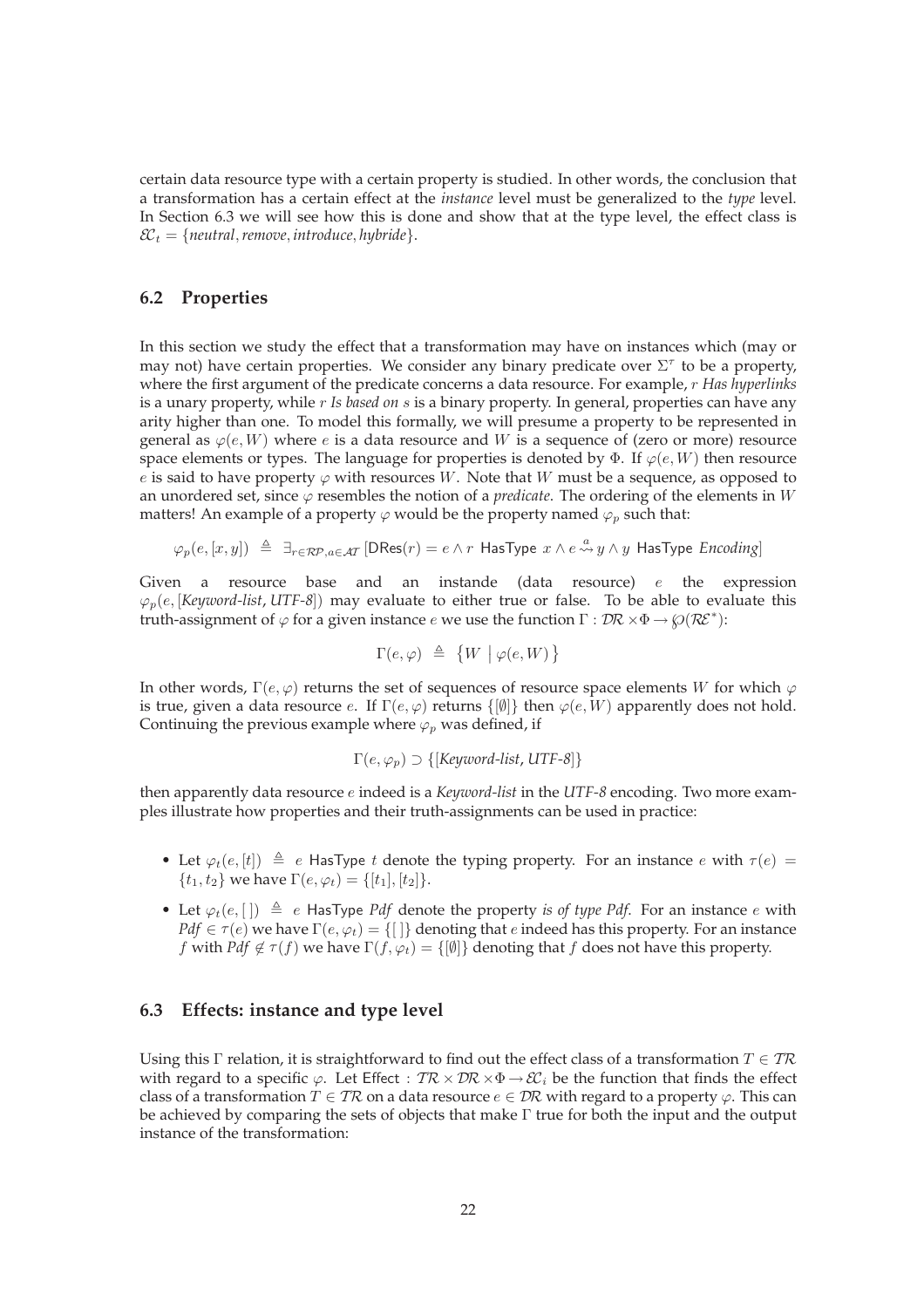certain data resource type with a certain property is studied. In other words, the conclusion that a transformation has a certain effect at the *instance* level must be generalized to the *type* level. In Section 6.3 we will see how this is done and show that at the type level, the effect class is  $\mathcal{E}\mathcal{E}_t = \{neutral, remove, introduce, hybridge\}.$ 

### **6.2 Properties**

In this section we study the effect that a transformation may have on instances which (may or may not) have certain properties. We consider any binary predicate over  $\Sigma^{\tau}$  to be a property, where the first argument of the predicate concerns a data resource. For example, r *Has hyperlinks* is a unary property, while r *Is based on* s is a binary property. In general, properties can have any arity higher than one. To model this formally, we will presume a property to be represented in general as  $\varphi(e, W)$  where e is a data resource and W is a sequence of (zero or more) resource space elements or types. The language for properties is denoted by  $\Phi$ . If  $\varphi(e, W)$  then resource e is said to have property  $\varphi$  with resources W. Note that W must be a sequence, as opposed to an unordered set, since  $\varphi$  resembles the notion of a *predicate*. The ordering of the elements in W matters! An example of a property  $\varphi$  would be the property named  $\varphi_p$  such that:

$$
\varphi_p(e,[x,y]) \triangleq \exists_{r \in \mathcal{RP}, a \in \mathcal{AT}} [\text{DRes}(r) = e \wedge r \text{ HasType } x \wedge e \stackrel{a}{\leadsto} y \wedge y \text{ HasType Encoding}]
$$

Given a resource base and an instande (data resource)  $e$  the expression  $\varphi_p(e, [Keyword-list, UTF-8])$  may evaluate to either true or false. To be able to evaluate this truth-assignment of  $\varphi$  for a given instance  $e$  we use the function  $\Gamma : \mathcal{DR} \times \Phi \to \wp(\mathcal{RE}^*)$ :

$$
\Gamma(e,\varphi) \triangleq \{W \mid \varphi(e,W)\}
$$

In other words,  $\Gamma(e, \varphi)$  returns the set of sequences of resource space elements W for which  $\varphi$ is true, given a data resource e. If  $\Gamma(e, \varphi)$  returns  $\{[\emptyset]\}$  then  $\varphi(e, W)$  apparently does not hold. Continuing the previous example where  $\varphi_p$  was defined, if

$$
\Gamma(e, \varphi_p) \supset \{ \text{[Keywords-list, UTF-8]} \}
$$

then apparently data resource e indeed is a *Keyword-list* in the *UTF-8* encoding. Two more examples illustrate how properties and their truth-assignments can be used in practice:

- Let  $\varphi_t(e, [t]) \triangleq e$  HasType t denote the typing property. For an instance e with  $\tau(e) =$  $\{t_1, t_2\}$  we have  $\Gamma(e, \varphi_t) = \{[t_1], [t_2]\}.$
- Let  $\varphi_t(e, \lceil) \triangleq e$  HasType *Pdf* denote the property *is of type Pdf*. For an instance *e* with  $Pdf \in \tau(e)$  we have  $\Gamma(e, \varphi_t) = \{[\cdot]\}$  denoting that e indeed has this property. For an instance f with *Pdf*  $\notin \tau(f)$  we have  $\Gamma(f, \varphi_t) = \{[\emptyset]\}\$  denoting that f does not have this property.

#### **6.3 Effects: instance and type level**

Using this Γ relation, it is straightforward to find out the effect class of a transformation  $T \in \mathcal{TR}$ with regard to a specific  $\varphi$ . Let Effect :  $T\mathcal{R} \times \mathcal{D}\mathcal{R} \times \Phi \to \mathcal{E}\mathcal{C}_i$  be the function that finds the effect class of a transformation  $T \in \mathcal{TR}$  on a data resource  $e \in \mathcal{DR}$  with regard to a property  $\varphi$ . This can be achieved by comparing the sets of objects that make Γ true for both the input and the output instance of the transformation: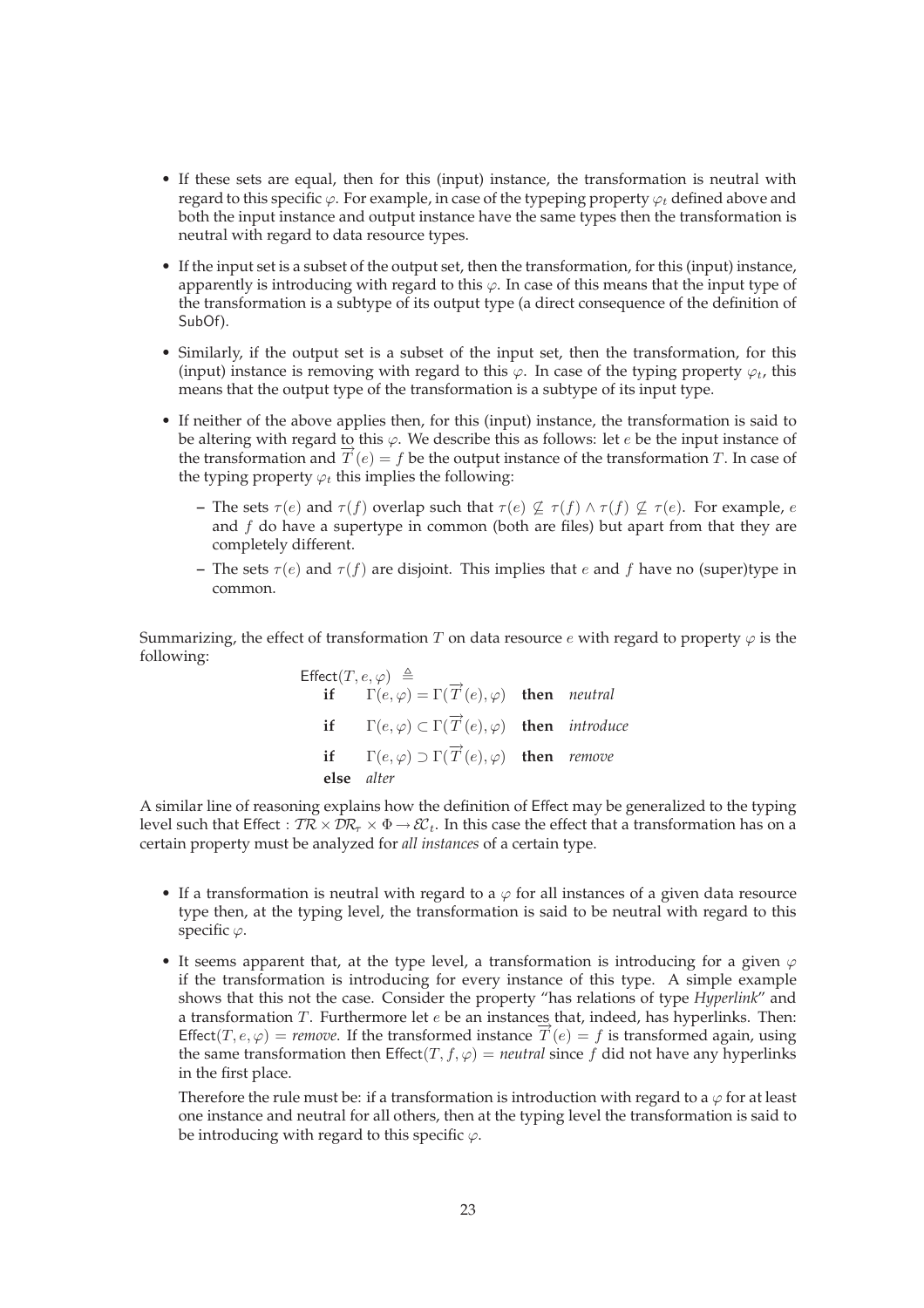- If these sets are equal, then for this (input) instance, the transformation is neutral with regard to this specific  $\varphi$ . For example, in case of the typeping property  $\varphi_t$  defined above and both the input instance and output instance have the same types then the transformation is neutral with regard to data resource types.
- If the input set is a subset of the output set, then the transformation, for this (input) instance, apparently is introducing with regard to this  $\varphi$ . In case of this means that the input type of the transformation is a subtype of its output type (a direct consequence of the definition of SubOf).
- Similarly, if the output set is a subset of the input set, then the transformation, for this (input) instance is removing with regard to this  $\varphi$ . In case of the typing property  $\varphi_t$ , this means that the output type of the transformation is a subtype of its input type.
- If neither of the above applies then, for this (input) instance, the transformation is said to be altering with regard to this  $\varphi$ . We describe this as follows: let e be the input instance of the transformation and  $T(e) = f$  be the output instance of the transformation T. In case of the typing property  $\varphi_t$  this implies the following:
	- **–** The sets  $\tau(e)$  and  $\tau(f)$  overlap such that  $\tau(e) \not\subseteq \tau(f) \wedge \tau(f) \not\subseteq \tau(e)$ . For example, e and  $f$  do have a supertype in common (both are files) but apart from that they are completely different.
	- **–** The sets  $\tau(e)$  and  $\tau(f)$  are disjoint. This implies that e and f have no (super)type in common.

Summarizing, the effect of transformation T on data resource e with regard to property  $\varphi$  is the following:

Effect
$$
(T, e, \varphi)
$$
  $\triangleq$   
\n**if**  $\Gamma(e, \varphi) = \Gamma(\overrightarrow{T}(e), \varphi)$  **then** neutral  
\n**if**  $\Gamma(e, \varphi) \subset \Gamma(\overrightarrow{T}(e), \varphi)$  **then** introduce  
\n**if**  $\Gamma(e, \varphi) \supset \Gamma(\overrightarrow{T}(e), \varphi)$  **then** remove  
\n**else** alter

A similar line of reasoning explains how the definition of Effect may be generalized to the typing level such that Effect :  $T\mathcal{R} \times \mathcal{D}\mathcal{R}_{\tau} \times \Phi \to \mathcal{E}\mathcal{E}_t$ . In this case the effect that a transformation has on a certain property must be analyzed for *all instances* of a certain type.

- If a transformation is neutral with regard to a  $\varphi$  for all instances of a given data resource type then, at the typing level, the transformation is said to be neutral with regard to this specific  $\varphi$ .
- It seems apparent that, at the type level, a transformation is introducing for a given  $\varphi$ if the transformation is introducing for every instance of this type. A simple example shows that this not the case. Consider the property "has relations of type *Hyperlink*" and a transformation  $T$ . Furthermore let  $e$  be an instances that, indeed, has hyperlinks. Then: Effect(T,  $e, \varphi$ ) = *remove*. If the transformed instance  $\hat{T}(e) = f$  is transformed again, using the same transformation then  $\text{Effect}(T, f, \varphi) = \text{neutral since } f \text{ did not have any hyperlinks}$ in the first place.

Therefore the rule must be: if a transformation is introduction with regard to a  $\varphi$  for at least one instance and neutral for all others, then at the typing level the transformation is said to be introducing with regard to this specific  $\varphi$ .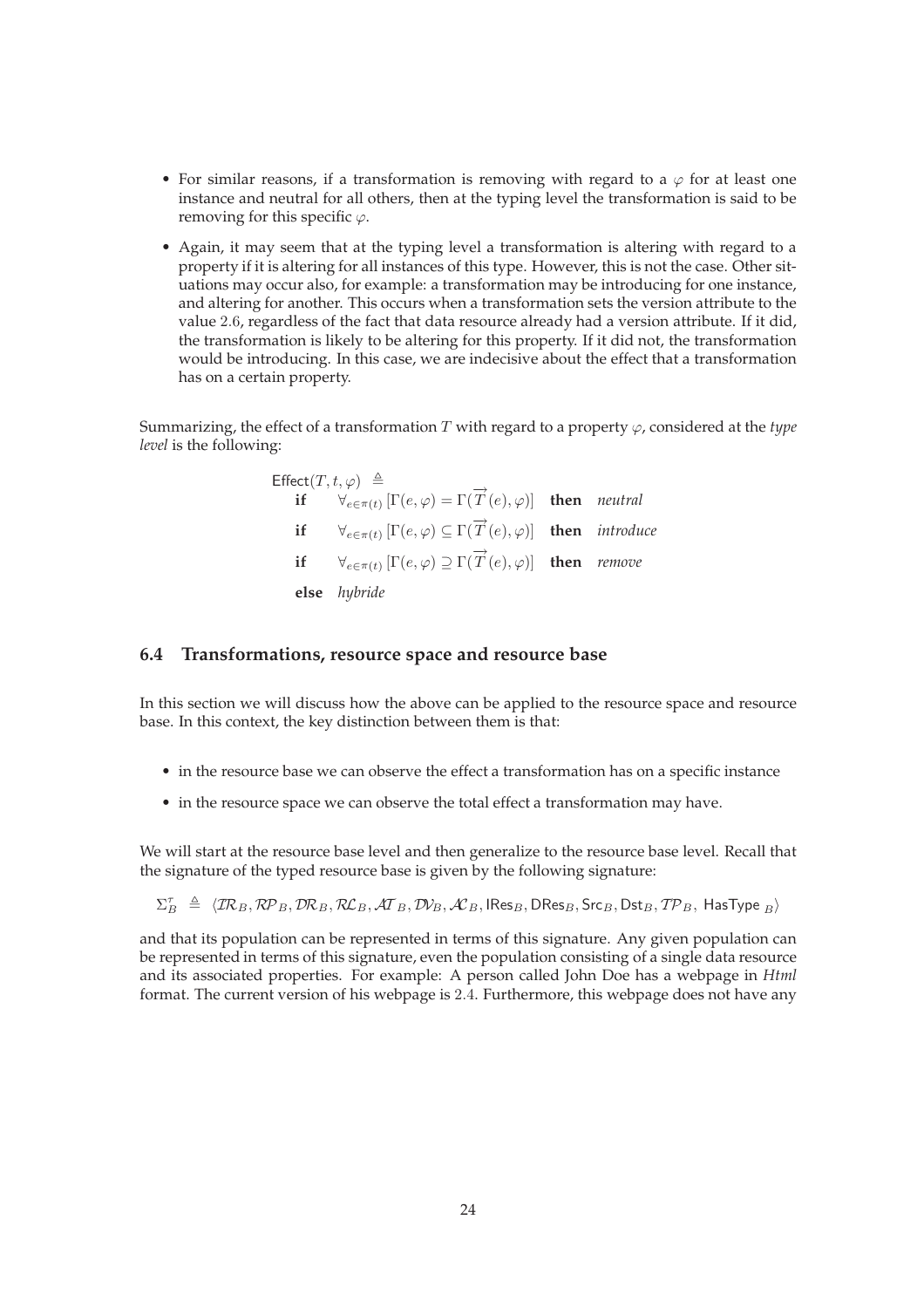- For similar reasons, if a transformation is removing with regard to a  $\varphi$  for at least one instance and neutral for all others, then at the typing level the transformation is said to be removing for this specific  $\varphi$ .
- Again, it may seem that at the typing level a transformation is altering with regard to a property if it is altering for all instances of this type. However, this is not the case. Other situations may occur also, for example: a transformation may be introducing for one instance, and altering for another. This occurs when a transformation sets the version attribute to the value 2.6, regardless of the fact that data resource already had a version attribute. If it did, the transformation is likely to be altering for this property. If it did not, the transformation would be introducing. In this case, we are indecisive about the effect that a transformation has on a certain property.

Summarizing, the effect of a transformation T with regard to a property  $\varphi$ , considered at the *type level* is the following:

| Effect $(T, t, \varphi) \triangleq$ |                                                                                                                                       |  |
|-------------------------------------|---------------------------------------------------------------------------------------------------------------------------------------|--|
|                                     | if $\forall_{e \in \pi(t)}$ $[\Gamma(e, \varphi) = \Gamma(\overrightarrow{T}(e), \varphi)]$ then <i>neutral</i>                       |  |
|                                     | <b>if</b> $\forall_{e \in \pi(t)} [\Gamma(e, \varphi) \subseteq \Gamma(\overrightarrow{T}(e), \varphi)]$ <b>then</b> <i>introduce</i> |  |
|                                     | <b>if</b> $\forall_{e \in \pi(t)} [\Gamma(e, \varphi) \supseteq \Gamma(\overrightarrow{T}(e), \varphi)]$ then <i>remove</i>           |  |
|                                     | else hybride                                                                                                                          |  |

### **6.4 Transformations, resource space and resource base**

In this section we will discuss how the above can be applied to the resource space and resource base. In this context, the key distinction between them is that:

- in the resource base we can observe the effect a transformation has on a specific instance
- in the resource space we can observe the total effect a transformation may have.

We will start at the resource base level and then generalize to the resource base level. Recall that the signature of the typed resource base is given by the following signature:

 $\Sigma_B^\tau \ \triangleq \ \langle \mathcal{IR}_B, \mathcal{RP}_B, \mathcal{DR}_B, \mathcal{RL}_B, \mathcal{AT}_B, \mathcal{D\!V_B, \mathcal{AL}_B, \mathsf{IRes}_B, \mathsf{DRes}_B, \mathsf{Src}_B, \mathsf{Dst}_B, \mathcal{TP}_B, \mathsf{HasType\,}_B \rangle$ 

and that its population can be represented in terms of this signature. Any given population can be represented in terms of this signature, even the population consisting of a single data resource and its associated properties. For example: A person called John Doe has a webpage in *Html* format. The current version of his webpage is 2.4. Furthermore, this webpage does not have any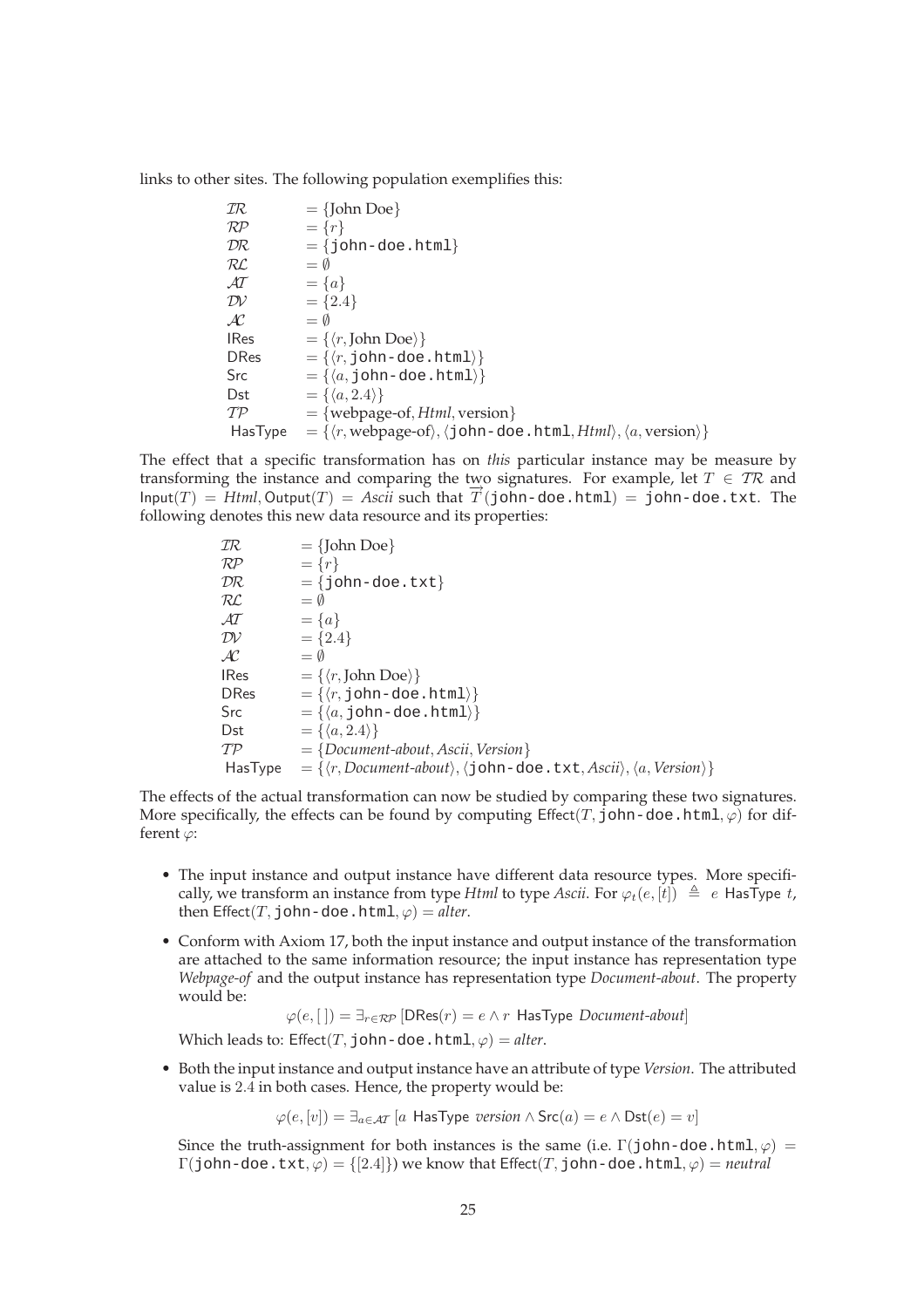links to other sites. The following population exemplifies this:

$$
TR = {John Doe}
$$
\n
$$
RP = {r}
$$
\n
$$
DR = {john-doe.html}
$$
\n
$$
RL = \emptyset
$$
\n
$$
AT = \{a\}
$$
\n
$$
DV = \{2.4\}
$$
\n
$$
AC = \emptyset
$$
\n
$$
IRes = {r, John Doe}
$$
\n
$$
DRes = {r, john-doe.html}
$$
\n
$$
Src = {a, john-doe.html}
$$
\n
$$
Src = {a, john-doe.html}
$$
\n
$$
Src = {a, john-doe.html}
$$
\n
$$
Src = {a, 2.4}
$$
\n
$$
TP = {webpage-of, Html, version}
$$
\n
$$
HasType = {r, webpage-of, (john-doe.html, Html), \{a, version\}}
$$

The effect that a specific transformation has on *this* particular instance may be measure by transforming the instance and comparing the two signatures. For example, let  $T \in \mathcal{TR}$  and  $Input(T) = Html, Output(T) = Ascii$  such that  $\overrightarrow{T}$  (john-doe.html) = john-doe.txt. The following denotes this new data resource and its properties:

| IR                       | $=$ {John Doe}                                                                                                     |
|--------------------------|--------------------------------------------------------------------------------------------------------------------|
| RP                       | $= \{r\}$                                                                                                          |
| DR                       | $=$ {john-doe.txt}                                                                                                 |
| RL                       | $= \emptyset$                                                                                                      |
| $\mathcal{A}\mathcal{T}$ | $= \{a\}$                                                                                                          |
| DV                       | $= \{2.4\}$                                                                                                        |
| $\mathcal{A}$            | $=$ 0                                                                                                              |
| <b>IRes</b>              | $= \{ \langle r, \text{John Doe} \rangle \}$                                                                       |
| <b>DRes</b>              | $=\{\langle r, \text{John-doe.html}\rangle\}$                                                                      |
| Src                      | $=\{\langle a, \text{John-doe.html}\rangle\}$                                                                      |
| Dst                      | $=\{\langle a,2.4\rangle\}$                                                                                        |
| TP                       | $= \{Document-about, Ascii, Version\}$                                                                             |
| HasType                  | $=\{\langle r, Document\text{-}about\rangle,\langle \text{John}-doe.txt, Ascii\rangle,\langle a, Version\rangle\}$ |

The effects of the actual transformation can now be studied by comparing these two signatures. More specifically, the effects can be found by computing  $E\text{ffect}(T, \text{john-doe.html}, \varphi)$  for different  $\varphi$ :

- The input instance and output instance have different data resource types. More specifically, we transform an instance from type *Html* to type *Ascii*. For  $\varphi_t(e, [t]) \triangleq e$  HasType t, then  $Effect(T, john-doe.html, \varphi) = alter.$
- Conform with Axiom 17, both the input instance and output instance of the transformation are attached to the same information resource; the input instance has representation type *Webpage-of* and the output instance has representation type *Document-about*. The property would be:

$$
\varphi(e, []) = \exists_{r \in \mathcal{RP}} [\text{DRes}(r) = e \land r \text{ HasType Document-about}]
$$

Which leads to:  $E$ ffect(T, john-doe.html,  $\varphi$ ) = *alter*.

• Both the input instance and output instance have an attribute of type *Version*. The attributed value is 2.4 in both cases. Hence, the property would be:

 $\varphi(e, [v]) = \exists_{a \in \mathcal{AT}} [a$  HasType *version*  $\wedge$  Src $(a) = e \wedge \text{Dst}(e) = v$ 

Since the truth-assignment for both instances is the same (i.e.  $\Gamma(john-doe.html, \varphi) =$ Γ(john-doe.txt,  $\varphi$ ) = {[2.4]}) we know that Effect(*T*, john-doe.html,  $\varphi$ ) = *neutral*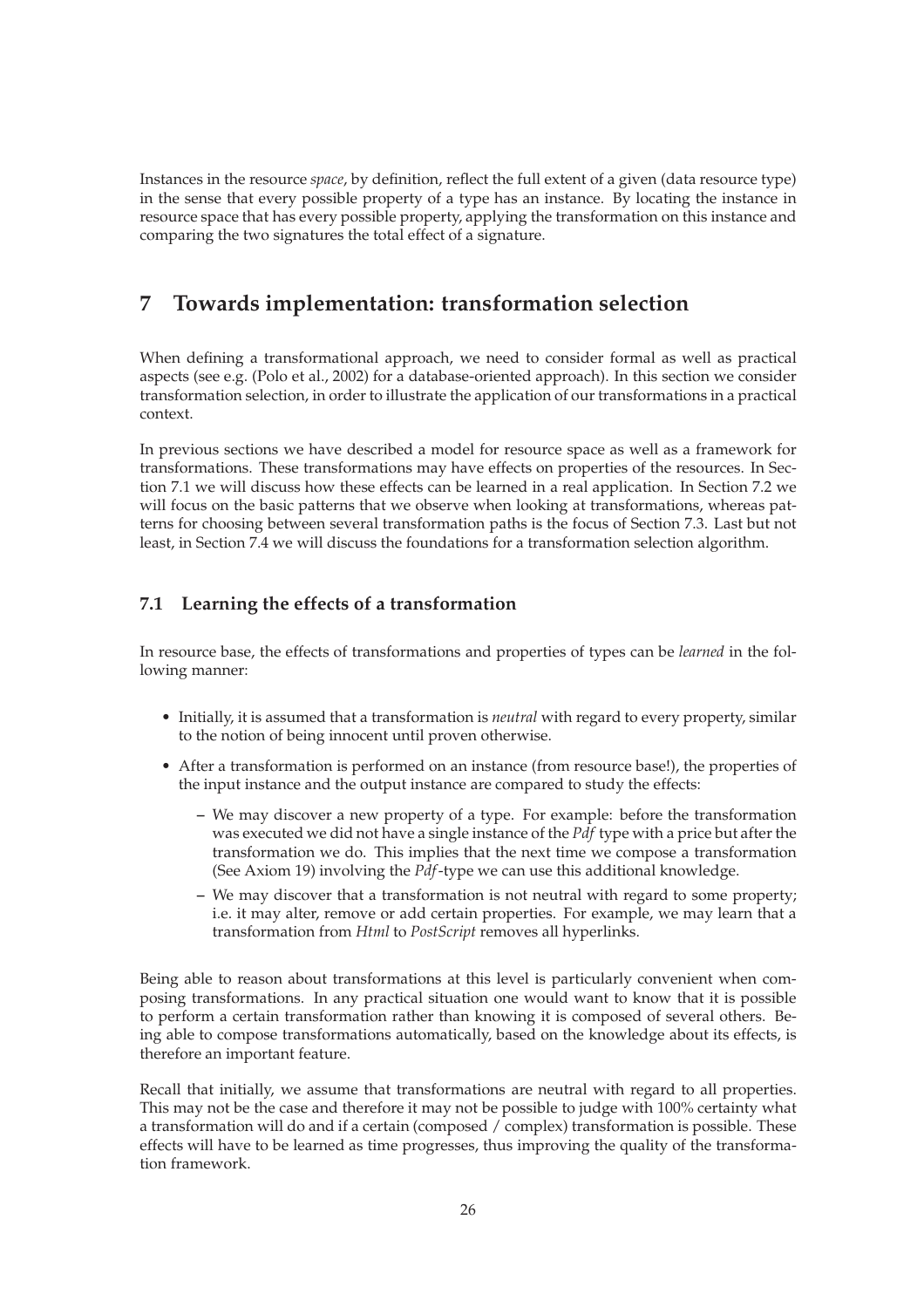Instances in the resource *space*, by definition, reflect the full extent of a given (data resource type) in the sense that every possible property of a type has an instance. By locating the instance in resource space that has every possible property, applying the transformation on this instance and comparing the two signatures the total effect of a signature.

## **7 Towards implementation: transformation selection**

When defining a transformational approach, we need to consider formal as well as practical aspects (see e.g. (Polo et al., 2002) for a database-oriented approach). In this section we consider transformation selection, in order to illustrate the application of our transformations in a practical context.

In previous sections we have described a model for resource space as well as a framework for transformations. These transformations may have effects on properties of the resources. In Section 7.1 we will discuss how these effects can be learned in a real application. In Section 7.2 we will focus on the basic patterns that we observe when looking at transformations, whereas patterns for choosing between several transformation paths is the focus of Section 7.3. Last but not least, in Section 7.4 we will discuss the foundations for a transformation selection algorithm.

## **7.1 Learning the effects of a transformation**

In resource base, the effects of transformations and properties of types can be *learned* in the following manner:

- Initially, it is assumed that a transformation is *neutral* with regard to every property, similar to the notion of being innocent until proven otherwise.
- After a transformation is performed on an instance (from resource base!), the properties of the input instance and the output instance are compared to study the effects:
	- **–** We may discover a new property of a type. For example: before the transformation was executed we did not have a single instance of the *Pdf* type with a price but after the transformation we do. This implies that the next time we compose a transformation (See Axiom 19) involving the *Pdf*-type we can use this additional knowledge.
	- **–** We may discover that a transformation is not neutral with regard to some property; i.e. it may alter, remove or add certain properties. For example, we may learn that a transformation from *Html* to *PostScript* removes all hyperlinks.

Being able to reason about transformations at this level is particularly convenient when composing transformations. In any practical situation one would want to know that it is possible to perform a certain transformation rather than knowing it is composed of several others. Being able to compose transformations automatically, based on the knowledge about its effects, is therefore an important feature.

Recall that initially, we assume that transformations are neutral with regard to all properties. This may not be the case and therefore it may not be possible to judge with 100% certainty what a transformation will do and if a certain (composed / complex) transformation is possible. These effects will have to be learned as time progresses, thus improving the quality of the transformation framework.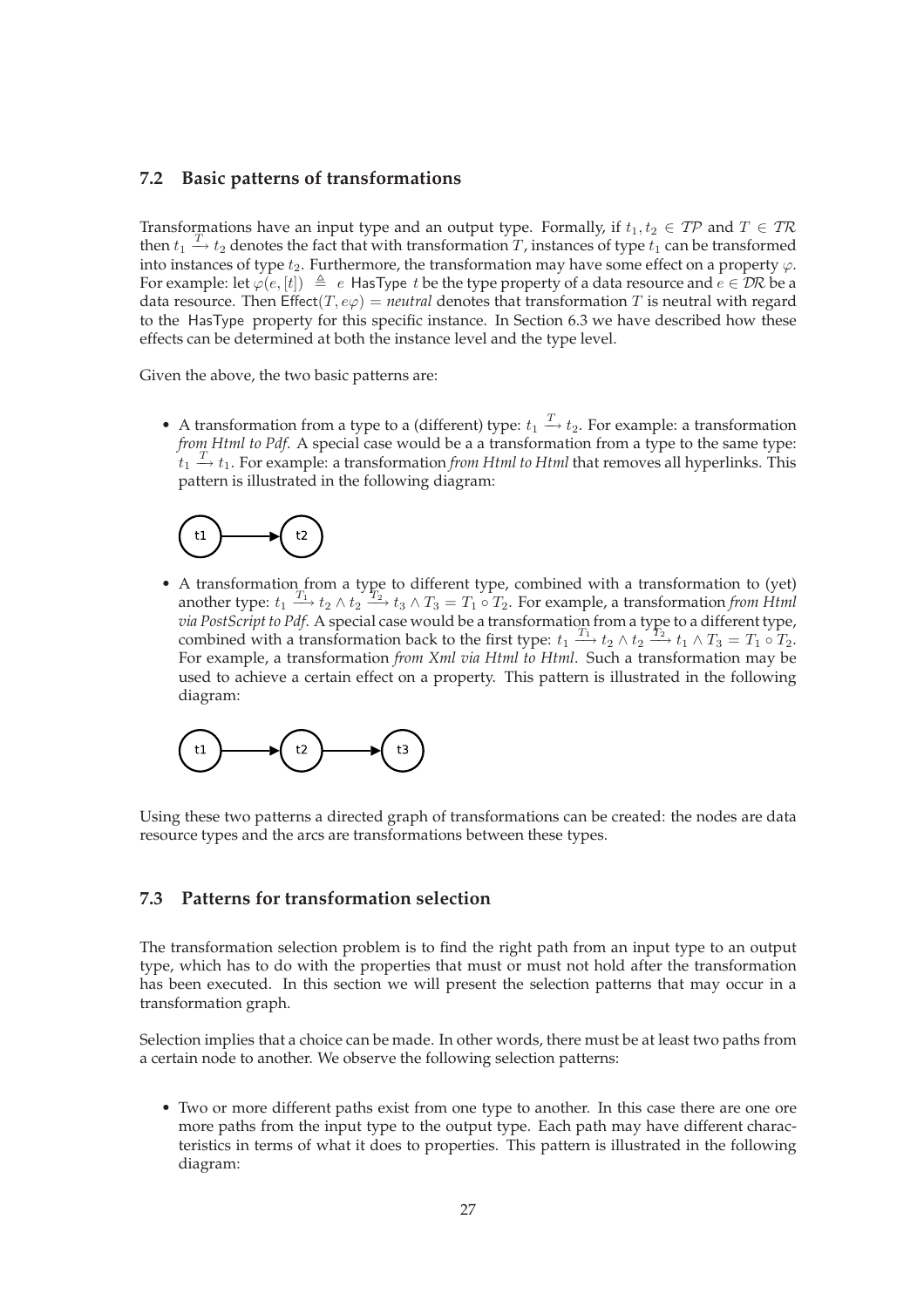#### **7.2 Basic patterns of transformations**

Transformations have an input type and an output type. Formally, if  $t_1, t_2 \in T\mathcal{P}$  and  $T \in T\mathcal{R}$ then  $t_1 \stackrel{T}{\rightarrow} t_2$  denotes the fact that with transformation T, instances of type  $t_1$  can be transformed into instances of type  $t_2$ . Furthermore, the transformation may have some effect on a property  $\varphi$ . For example: let  $\varphi(e, [t]) \triangleq e$  HasType t be the type property of a data resource and  $e \in \mathcal{DR}$  be a data resource. Then  $Effect(T, e\varphi) = neutral$  denotes that transformation T is neutral with regard to the HasType property for this specific instance. In Section 6.3 we have described how these effects can be determined at both the instance level and the type level.

Given the above, the two basic patterns are:

• A transformation from a type to a (different) type:  $t_1 \stackrel{T}{\rightarrow} t_2$ . For example: a transformation *from Html to Pdf*. A special case would be a a transformation from a type to the same type:  $\tilde{t}_1 \stackrel{T}{\rightarrow} t_1$ . For example: a transformation *from Html to Html* that removes all hyperlinks. This pattern is illustrated in the following diagram:



• A transformation from a type to different type, combined with a transformation to (yet) another type:  $t_1 \xrightarrow{T_1} t_2 \wedge t_2 \xrightarrow{T_2} t_3 \wedge T_3 = T_1 \circ T_2$ . For example, a transformation *from Html via PostScript to Pdf*. A special case would be a transformation from a type to a different type, combined with a transformation back to the first type:  $t_1 \xrightarrow{T_1} t_2 \wedge t_2 \xrightarrow{\gamma_1} t_1 \wedge T_3 = T_1 \circ T_2$ . For example, a transformation *from Xml via Html to Html*. Such a transformation may be used to achieve a certain effect on a property. This pattern is illustrated in the following diagram:



Using these two patterns a directed graph of transformations can be created: the nodes are data resource types and the arcs are transformations between these types.

#### **7.3 Patterns for transformation selection**

The transformation selection problem is to find the right path from an input type to an output type, which has to do with the properties that must or must not hold after the transformation has been executed. In this section we will present the selection patterns that may occur in a transformation graph.

Selection implies that a choice can be made. In other words, there must be at least two paths from a certain node to another. We observe the following selection patterns:

• Two or more different paths exist from one type to another. In this case there are one ore more paths from the input type to the output type. Each path may have different characteristics in terms of what it does to properties. This pattern is illustrated in the following diagram: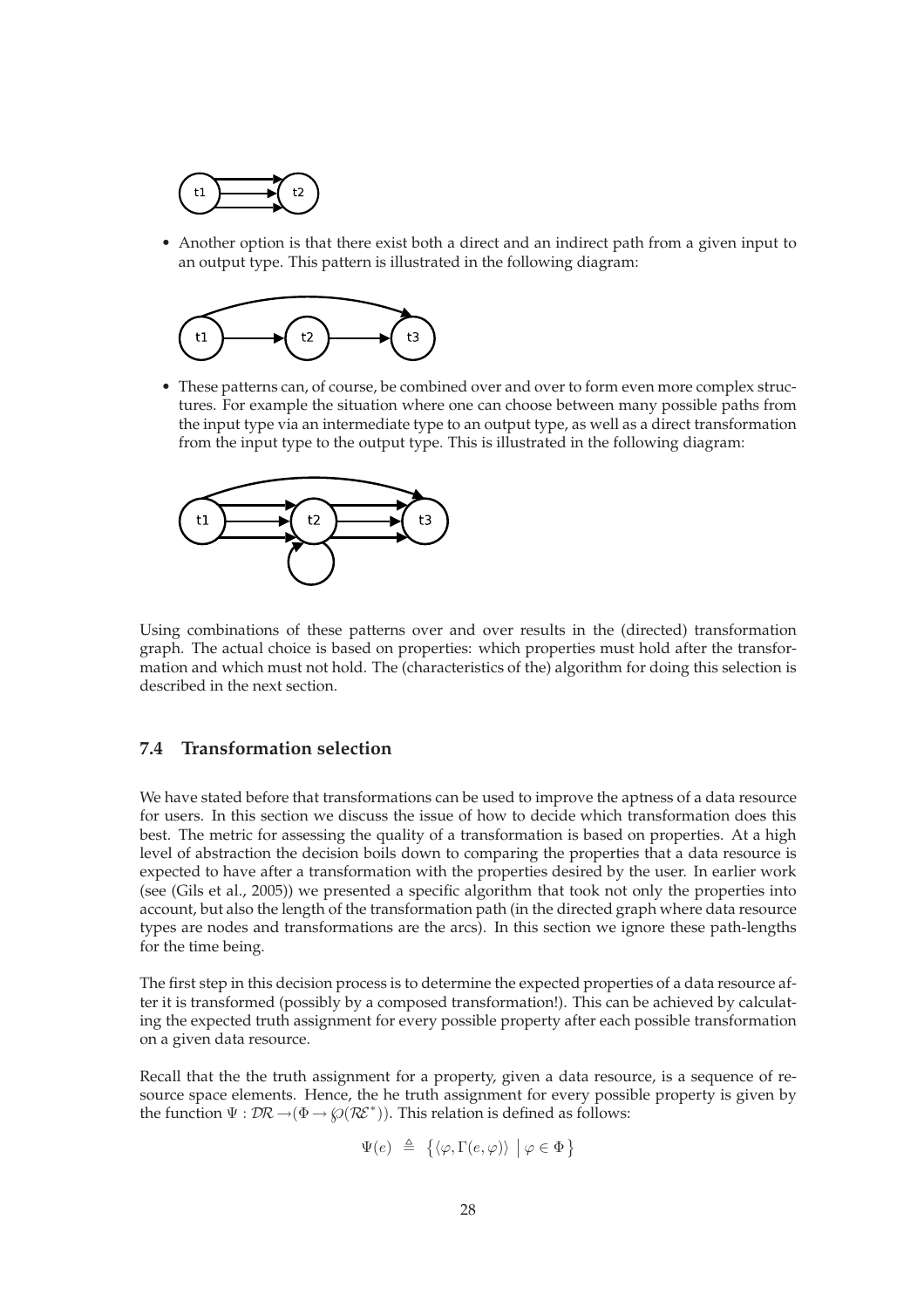

• Another option is that there exist both a direct and an indirect path from a given input to an output type. This pattern is illustrated in the following diagram:



• These patterns can, of course, be combined over and over to form even more complex structures. For example the situation where one can choose between many possible paths from the input type via an intermediate type to an output type, as well as a direct transformation from the input type to the output type. This is illustrated in the following diagram:



Using combinations of these patterns over and over results in the (directed) transformation graph. The actual choice is based on properties: which properties must hold after the transformation and which must not hold. The (characteristics of the) algorithm for doing this selection is described in the next section.

### **7.4 Transformation selection**

We have stated before that transformations can be used to improve the aptness of a data resource for users. In this section we discuss the issue of how to decide which transformation does this best. The metric for assessing the quality of a transformation is based on properties. At a high level of abstraction the decision boils down to comparing the properties that a data resource is expected to have after a transformation with the properties desired by the user. In earlier work (see (Gils et al., 2005)) we presented a specific algorithm that took not only the properties into account, but also the length of the transformation path (in the directed graph where data resource types are nodes and transformations are the arcs). In this section we ignore these path-lengths for the time being.

The first step in this decision process is to determine the expected properties of a data resource after it is transformed (possibly by a composed transformation!). This can be achieved by calculating the expected truth assignment for every possible property after each possible transformation on a given data resource.

Recall that the the truth assignment for a property, given a data resource, is a sequence of resource space elements. Hence, the he truth assignment for every possible property is given by the function  $\Psi : \mathcal{DR} \rightarrow (\Phi \rightarrow \wp(\mathcal{RE}^*))$ . This relation is defined as follows:

$$
\Psi(e) \triangleq \{ \langle \varphi, \Gamma(e, \varphi) \rangle \mid \varphi \in \Phi \}
$$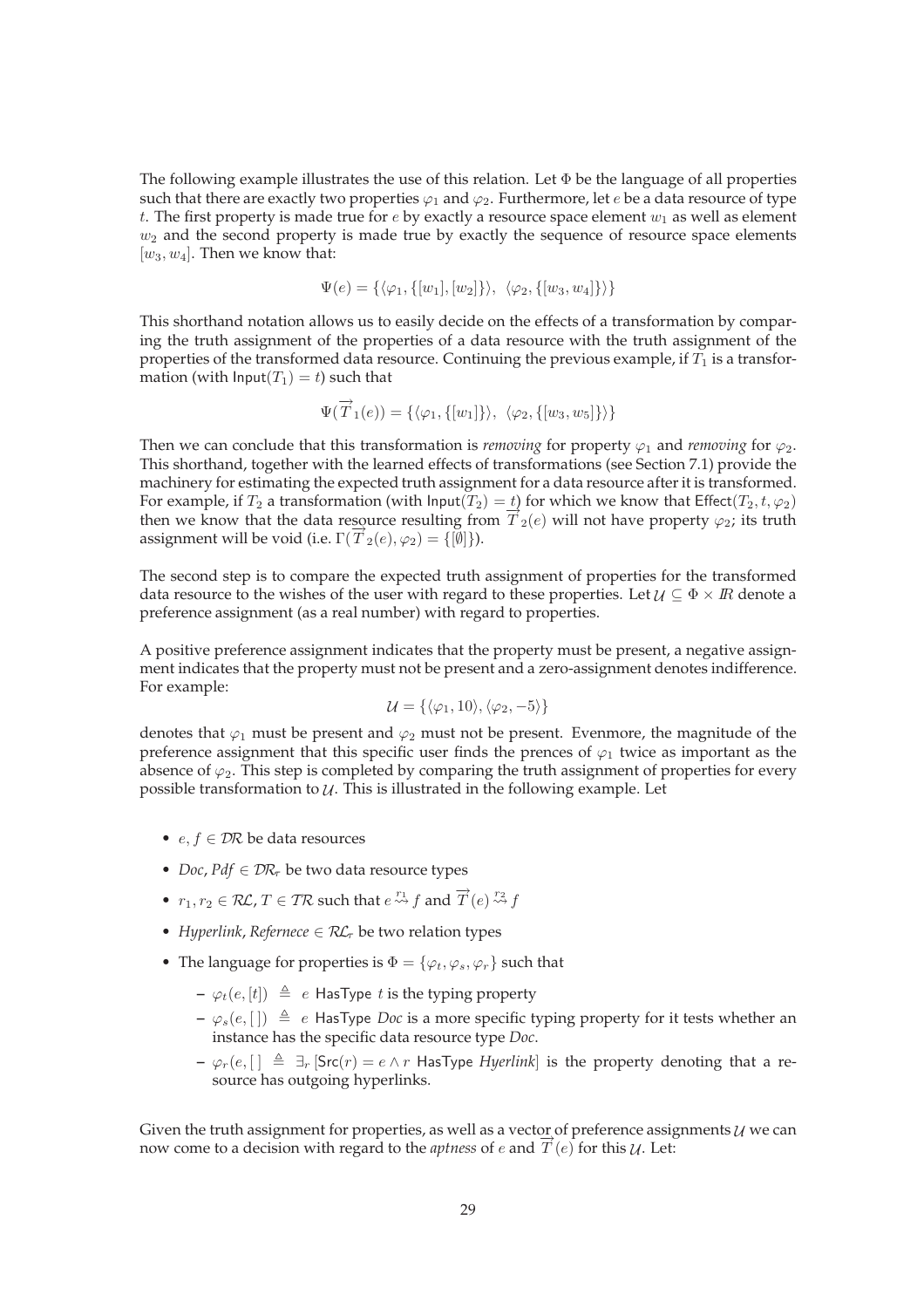The following example illustrates the use of this relation. Let  $\Phi$  be the language of all properties such that there are exactly two properties  $\varphi_1$  and  $\varphi_2$ . Furthermore, let e be a data resource of type t. The first property is made true for  $e$  by exactly a resource space element  $w_1$  as well as element  $w_2$  and the second property is made true by exactly the sequence of resource space elements  $[w_3, w_4]$ . Then we know that:

$$
\Psi(e) = \{ \langle \varphi_1, \{ [w_1], [w_2] \} \rangle, \ \langle \varphi_2, \{ [w_3, w_4] \} \rangle \}
$$

This shorthand notation allows us to easily decide on the effects of a transformation by comparing the truth assignment of the properties of a data resource with the truth assignment of the properties of the transformed data resource. Continuing the previous example, if  $T_1$  is a transformation (with  $Input(T_1) = t$ ) such that

$$
\Psi(\overrightarrow{T}_1(e)) = \{ \langle \varphi_1, \{ [w_1] \} \rangle, \ \langle \varphi_2, \{ [w_3, w_5] \} \rangle \}
$$

Then we can conclude that this transformation is *removing* for property  $\varphi_1$  and *removing* for  $\varphi_2$ . This shorthand, together with the learned effects of transformations (see Section 7.1) provide the machinery for estimating the expected truth assignment for a data resource after it is transformed. For example, if  $T_2$  a transformation (with  $\text{Input}(T_2) = t$ ) for which we know that Effect( $T_2, t, \varphi_2$ ) then we know that the data resource resulting from  $T_2(e)$  will not have property  $\varphi_2$ ; its truth assignment will be void (i.e.  $\Gamma(\overline{T}_2(e), \varphi_2) = \{[\emptyset]\}\$ ).

The second step is to compare the expected truth assignment of properties for the transformed data resource to the wishes of the user with regard to these properties. Let  $\mathcal{U} \subseteq \Phi \times \mathbb{R}$  denote a preference assignment (as a real number) with regard to properties.

A positive preference assignment indicates that the property must be present, a negative assignment indicates that the property must not be present and a zero-assignment denotes indifference. For example:

$$
\mathcal{U} = \{ \langle \varphi_1, 10 \rangle, \langle \varphi_2, -5 \rangle \}
$$

denotes that  $\varphi_1$  must be present and  $\varphi_2$  must not be present. Evenmore, the magnitude of the preference assignment that this specific user finds the prences of  $\varphi_1$  twice as important as the absence of  $\varphi_2$ . This step is completed by comparing the truth assignment of properties for every possible transformation to  $U$ . This is illustrated in the following example. Let

- $e, f \in \mathcal{DR}$  be data resources
- *Doc, Pdf* ∈  $\mathcal{D}R_{\tau}$  be two data resource types
- $r_1, r_2 \in \mathcal{RL}, T \in \mathcal{TR}$  such that  $e \stackrel{r_1}{\leadsto} f$  and  $\overrightarrow{T}(e) \stackrel{r_2}{\leadsto} f$
- *Hyperlink, Refernece*  $\in \mathcal{RL}_{\tau}$  be two relation types
- The language for properties is  $\Phi = {\varphi_t, \varphi_s, \varphi_r}$  such that
	- $-\varphi_t(e, [t]) \triangleq e$  HasType t is the typing property
	- $\varphi_s(e, []$   $\triangleq$  *e* HasType *Doc* is a more specific typing property for it tests whether an instance has the specific data resource type *Doc*.
	- $\varphi$ <sub>r</sub>(e,  $\lceil \cdot \rceil \triangleq \exists_r$  [Src(r) = e ∧ r HasType *Hyerlink*] is the property denoting that a resource has outgoing hyperlinks.

Given the truth assignment for properties, as well as a vector of preference assignments  $U$  we can now come to a decision with regard to the *aptness* of e and  $\overline{T}(e)$  for this  $\mathcal{U}$ . Let: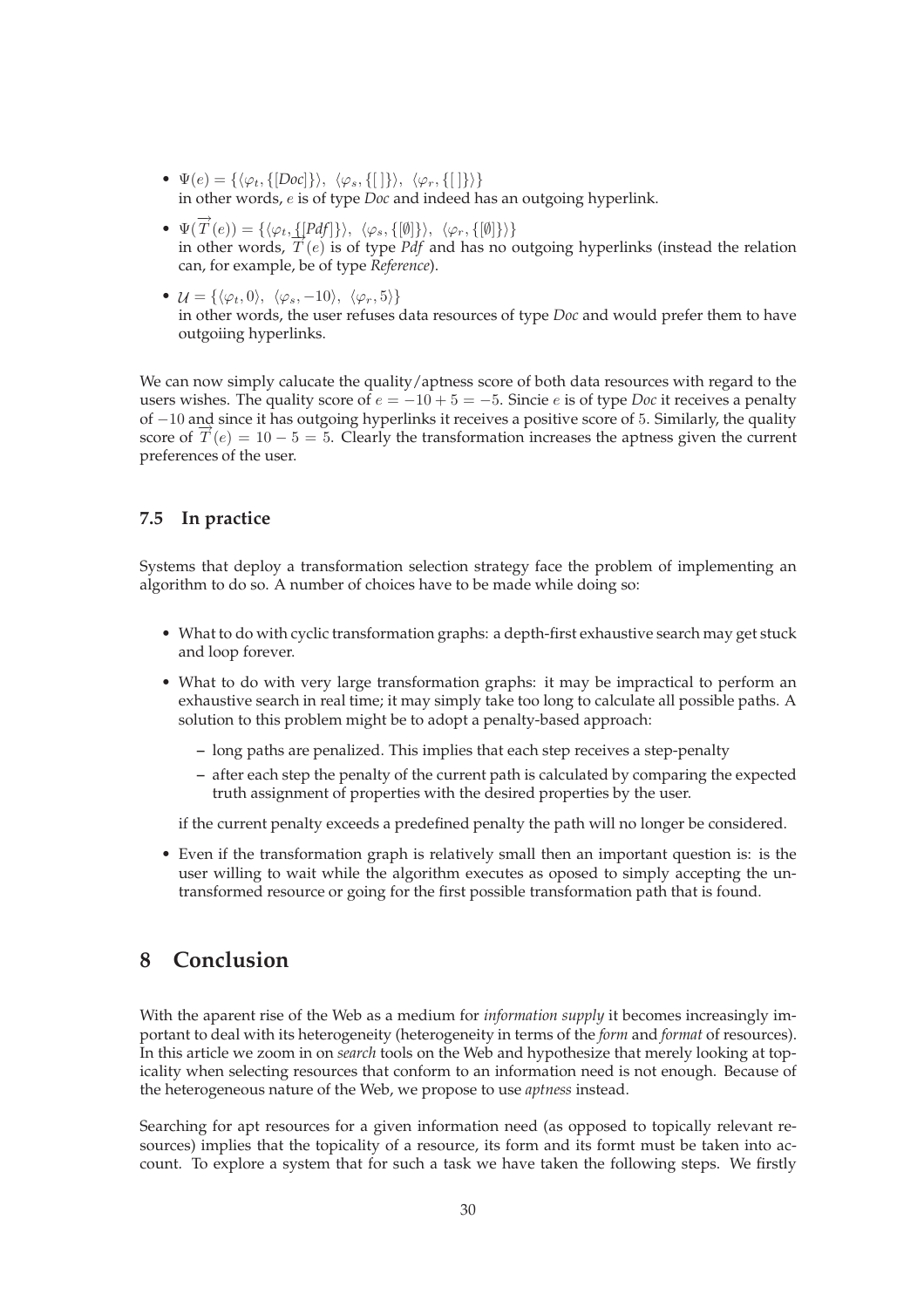- $\Psi(e) = {\langle \varphi_t, {\{|Doc|}\rangle}, \langle \varphi_s, {\{| |\}}\rangle, \langle \varphi_r, {\{| |\}}\rangle\}$ in other words, e is of type *Doc* and indeed has an outgoing hyperlink.
- $\Psi(\overline{T}(e)) = {\langle \varphi_t, \{ [Pdf] \} \rangle, \langle \varphi_s, \{ [\emptyset] \} \rangle, \langle \varphi_r, \{ [\emptyset] \} \rangle \}$ in other words,  $T(e)$  is of type *Pdf* and has no outgoing hyperlinks (instead the relation can, for example, be of type *Reference*).
- $\mathcal{U} = \{\langle \varphi_t, 0 \rangle, \langle \varphi_s, -10 \rangle, \langle \varphi_r, 5 \rangle\}$ in other words, the user refuses data resources of type *Doc* and would prefer them to have outgoiing hyperlinks.

We can now simply calucate the quality/aptness score of both data resources with regard to the users wishes. The quality score of  $e = -10 + 5 = -5$ . Sincie e is of type *Doc* it receives a penalty of −10 and since it has outgoing hyperlinks it receives a positive score of 5. Similarly, the quality score of  $\overline{T}(e) = 10 - 5 = 5$ . Clearly the transformation increases the aptness given the current preferences of the user.

## **7.5 In practice**

Systems that deploy a transformation selection strategy face the problem of implementing an algorithm to do so. A number of choices have to be made while doing so:

- What to do with cyclic transformation graphs: a depth-first exhaustive search may get stuck and loop forever.
- What to do with very large transformation graphs: it may be impractical to perform an exhaustive search in real time; it may simply take too long to calculate all possible paths. A solution to this problem might be to adopt a penalty-based approach:
	- **–** long paths are penalized. This implies that each step receives a step-penalty
	- **–** after each step the penalty of the current path is calculated by comparing the expected truth assignment of properties with the desired properties by the user.

if the current penalty exceeds a predefined penalty the path will no longer be considered.

• Even if the transformation graph is relatively small then an important question is: is the user willing to wait while the algorithm executes as oposed to simply accepting the untransformed resource or going for the first possible transformation path that is found.

## **8 Conclusion**

With the aparent rise of the Web as a medium for *information supply* it becomes increasingly important to deal with its heterogeneity (heterogeneity in terms of the *form* and *format* of resources). In this article we zoom in on *search* tools on the Web and hypothesize that merely looking at topicality when selecting resources that conform to an information need is not enough. Because of the heterogeneous nature of the Web, we propose to use *aptness* instead.

Searching for apt resources for a given information need (as opposed to topically relevant resources) implies that the topicality of a resource, its form and its formt must be taken into account. To explore a system that for such a task we have taken the following steps. We firstly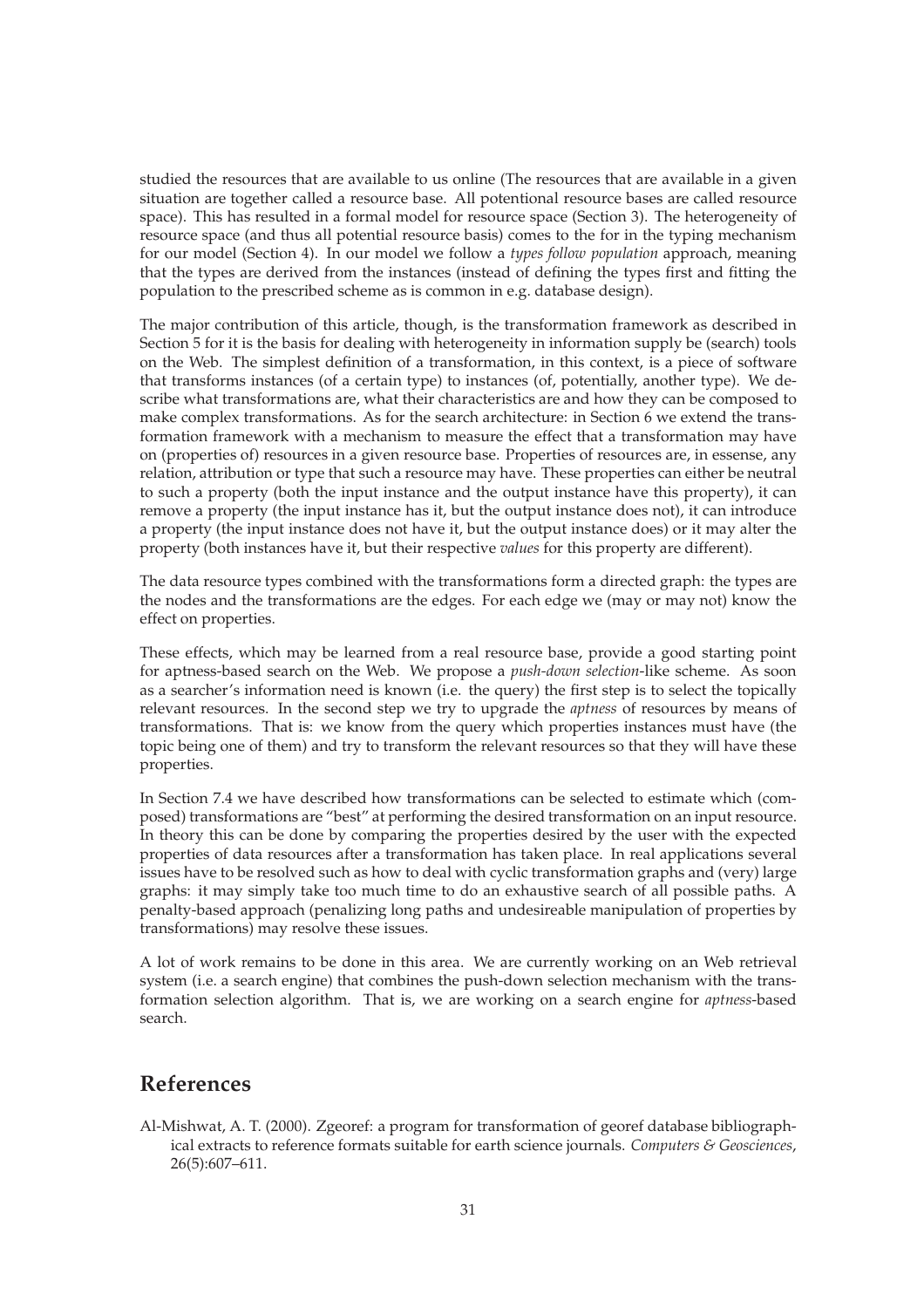studied the resources that are available to us online (The resources that are available in a given situation are together called a resource base. All potentional resource bases are called resource space). This has resulted in a formal model for resource space (Section 3). The heterogeneity of resource space (and thus all potential resource basis) comes to the for in the typing mechanism for our model (Section 4). In our model we follow a *types follow population* approach, meaning that the types are derived from the instances (instead of defining the types first and fitting the population to the prescribed scheme as is common in e.g. database design).

The major contribution of this article, though, is the transformation framework as described in Section 5 for it is the basis for dealing with heterogeneity in information supply be (search) tools on the Web. The simplest definition of a transformation, in this context, is a piece of software that transforms instances (of a certain type) to instances (of, potentially, another type). We describe what transformations are, what their characteristics are and how they can be composed to make complex transformations. As for the search architecture: in Section 6 we extend the transformation framework with a mechanism to measure the effect that a transformation may have on (properties of) resources in a given resource base. Properties of resources are, in essense, any relation, attribution or type that such a resource may have. These properties can either be neutral to such a property (both the input instance and the output instance have this property), it can remove a property (the input instance has it, but the output instance does not), it can introduce a property (the input instance does not have it, but the output instance does) or it may alter the property (both instances have it, but their respective *values* for this property are different).

The data resource types combined with the transformations form a directed graph: the types are the nodes and the transformations are the edges. For each edge we (may or may not) know the effect on properties.

These effects, which may be learned from a real resource base, provide a good starting point for aptness-based search on the Web. We propose a *push-down selection*-like scheme. As soon as a searcher's information need is known (i.e. the query) the first step is to select the topically relevant resources. In the second step we try to upgrade the *aptness* of resources by means of transformations. That is: we know from the query which properties instances must have (the topic being one of them) and try to transform the relevant resources so that they will have these properties.

In Section 7.4 we have described how transformations can be selected to estimate which (composed) transformations are "best" at performing the desired transformation on an input resource. In theory this can be done by comparing the properties desired by the user with the expected properties of data resources after a transformation has taken place. In real applications several issues have to be resolved such as how to deal with cyclic transformation graphs and (very) large graphs: it may simply take too much time to do an exhaustive search of all possible paths. A penalty-based approach (penalizing long paths and undesireable manipulation of properties by transformations) may resolve these issues.

A lot of work remains to be done in this area. We are currently working on an Web retrieval system (i.e. a search engine) that combines the push-down selection mechanism with the transformation selection algorithm. That is, we are working on a search engine for *aptness*-based search.

## **References**

Al-Mishwat, A. T. (2000). Zgeoref: a program for transformation of georef database bibliographical extracts to reference formats suitable for earth science journals. *Computers & Geosciences*, 26(5):607–611.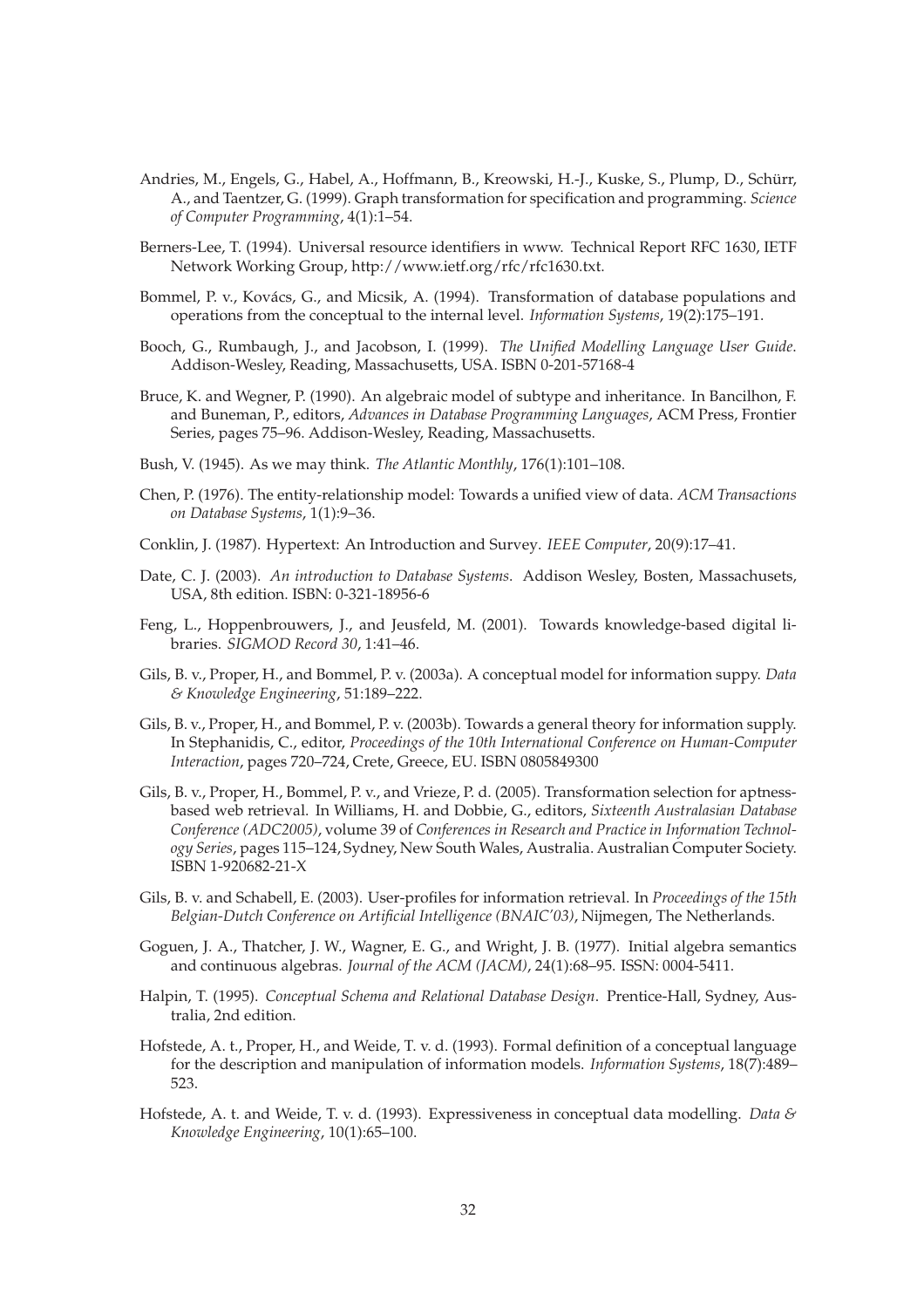- Andries, M., Engels, G., Habel, A., Hoffmann, B., Kreowski, H.-J., Kuske, S., Plump, D., Schürr, A., and Taentzer, G. (1999). Graph transformation for specification and programming. *Science of Computer Programming*, 4(1):1–54.
- Berners-Lee, T. (1994). Universal resource identifiers in www. Technical Report RFC 1630, IETF Network Working Group, http://www.ietf.org/rfc/rfc1630.txt.
- Bommel, P. v., Kovács, G., and Micsik, A. (1994). Transformation of database populations and operations from the conceptual to the internal level. *Information Systems*, 19(2):175–191.
- Booch, G., Rumbaugh, J., and Jacobson, I. (1999). *The Unified Modelling Language User Guide*. Addison-Wesley, Reading, Massachusetts, USA. ISBN 0-201-57168-4
- Bruce, K. and Wegner, P. (1990). An algebraic model of subtype and inheritance. In Bancilhon, F. and Buneman, P., editors, *Advances in Database Programming Languages*, ACM Press, Frontier Series, pages 75–96. Addison-Wesley, Reading, Massachusetts.
- Bush, V. (1945). As we may think. *The Atlantic Monthly*, 176(1):101–108.
- Chen, P. (1976). The entity-relationship model: Towards a unified view of data. *ACM Transactions on Database Systems*, 1(1):9–36.
- Conklin, J. (1987). Hypertext: An Introduction and Survey. *IEEE Computer*, 20(9):17–41.
- Date, C. J. (2003). *An introduction to Database Systems*. Addison Wesley, Bosten, Massachusets, USA, 8th edition. ISBN: 0-321-18956-6
- Feng, L., Hoppenbrouwers, J., and Jeusfeld, M. (2001). Towards knowledge-based digital libraries. *SIGMOD Record 30*, 1:41–46.
- Gils, B. v., Proper, H., and Bommel, P. v. (2003a). A conceptual model for information suppy. *Data & Knowledge Engineering*, 51:189–222.
- Gils, B. v., Proper, H., and Bommel, P. v. (2003b). Towards a general theory for information supply. In Stephanidis, C., editor, *Proceedings of the 10th International Conference on Human-Computer Interaction*, pages 720–724, Crete, Greece, EU. ISBN 0805849300
- Gils, B. v., Proper, H., Bommel, P. v., and Vrieze, P. d. (2005). Transformation selection for aptnessbased web retrieval. In Williams, H. and Dobbie, G., editors, *Sixteenth Australasian Database Conference (ADC2005)*, volume 39 of *Conferences in Research and Practice in Information Technology Series*, pages 115–124, Sydney, New South Wales, Australia. Australian Computer Society. ISBN 1-920682-21-X
- Gils, B. v. and Schabell, E. (2003). User-profiles for information retrieval. In *Proceedings of the 15th Belgian-Dutch Conference on Artificial Intelligence (BNAIC'03)*, Nijmegen, The Netherlands.
- Goguen, J. A., Thatcher, J. W., Wagner, E. G., and Wright, J. B. (1977). Initial algebra semantics and continuous algebras. *Journal of the ACM (JACM)*, 24(1):68–95. ISSN: 0004-5411.
- Halpin, T. (1995). *Conceptual Schema and Relational Database Design*. Prentice-Hall, Sydney, Australia, 2nd edition.
- Hofstede, A. t., Proper, H., and Weide, T. v. d. (1993). Formal definition of a conceptual language for the description and manipulation of information models. *Information Systems*, 18(7):489– 523.
- Hofstede, A. t. and Weide, T. v. d. (1993). Expressiveness in conceptual data modelling. *Data & Knowledge Engineering*, 10(1):65–100.